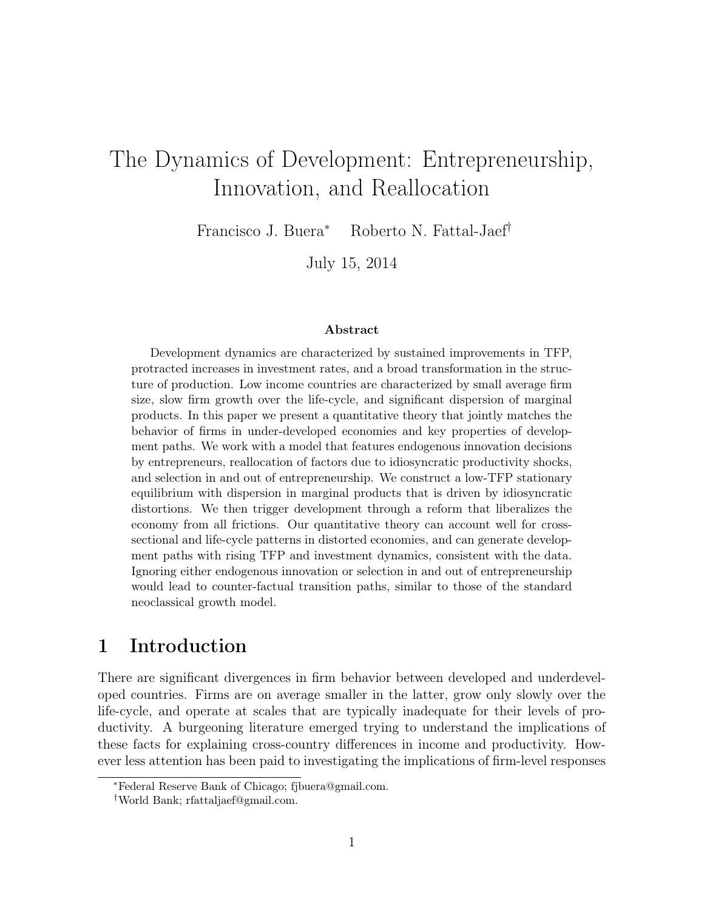# The Dynamics of Development: Entrepreneurship, Innovation, and Reallocation

Francisco J. Buera<sup>∗</sup> Roberto N. Fattal-Jaef†

July 15, 2014

#### Abstract

Development dynamics are characterized by sustained improvements in TFP, protracted increases in investment rates, and a broad transformation in the structure of production. Low income countries are characterized by small average firm size, slow firm growth over the life-cycle, and significant dispersion of marginal products. In this paper we present a quantitative theory that jointly matches the behavior of firms in under-developed economies and key properties of development paths. We work with a model that features endogenous innovation decisions by entrepreneurs, reallocation of factors due to idiosyncratic productivity shocks, and selection in and out of entrepreneurship. We construct a low-TFP stationary equilibrium with dispersion in marginal products that is driven by idiosyncratic distortions. We then trigger development through a reform that liberalizes the economy from all frictions. Our quantitative theory can account well for crosssectional and life-cycle patterns in distorted economies, and can generate development paths with rising TFP and investment dynamics, consistent with the data. Ignoring either endogenous innovation or selection in and out of entrepreneurship would lead to counter-factual transition paths, similar to those of the standard neoclassical growth model.

# 1 Introduction

There are significant divergences in firm behavior between developed and underdeveloped countries. Firms are on average smaller in the latter, grow only slowly over the life-cycle, and operate at scales that are typically inadequate for their levels of productivity. A burgeoning literature emerged trying to understand the implications of these facts for explaining cross-country differences in income and productivity. However less attention has been paid to investigating the implications of firm-level responses

<sup>∗</sup>Federal Reserve Bank of Chicago; fjbuera@gmail.com.

<sup>†</sup>World Bank; rfattaljaef@gmail.com.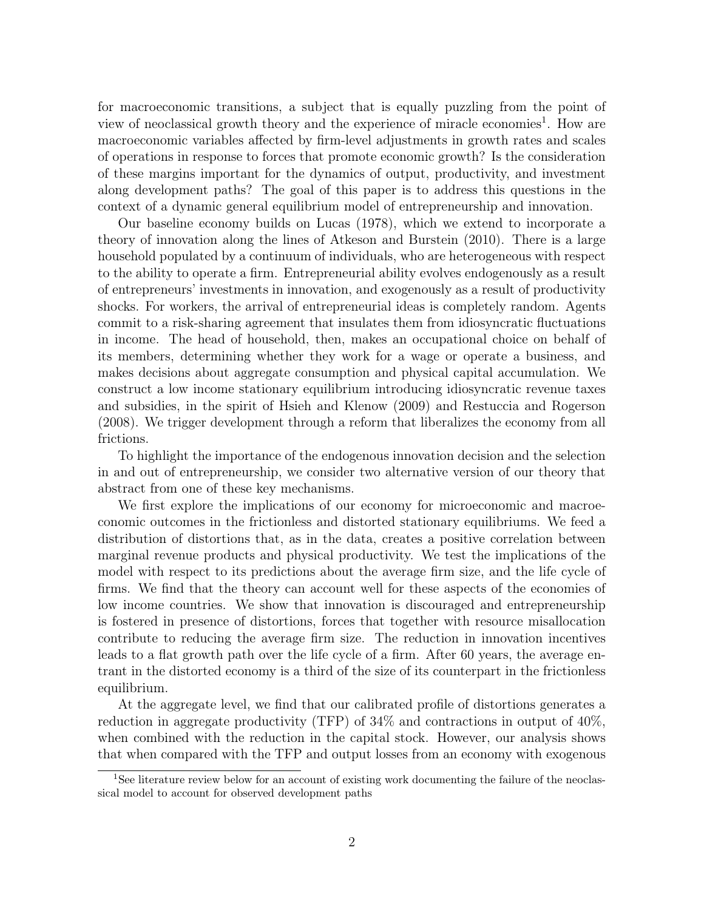for macroeconomic transitions, a subject that is equally puzzling from the point of view of neoclassical growth theory and the experience of miracle economies<sup>1</sup>. How are macroeconomic variables affected by firm-level adjustments in growth rates and scales of operations in response to forces that promote economic growth? Is the consideration of these margins important for the dynamics of output, productivity, and investment along development paths? The goal of this paper is to address this questions in the context of a dynamic general equilibrium model of entrepreneurship and innovation.

Our baseline economy builds on Lucas (1978), which we extend to incorporate a theory of innovation along the lines of Atkeson and Burstein (2010). There is a large household populated by a continuum of individuals, who are heterogeneous with respect to the ability to operate a firm. Entrepreneurial ability evolves endogenously as a result of entrepreneurs' investments in innovation, and exogenously as a result of productivity shocks. For workers, the arrival of entrepreneurial ideas is completely random. Agents commit to a risk-sharing agreement that insulates them from idiosyncratic fluctuations in income. The head of household, then, makes an occupational choice on behalf of its members, determining whether they work for a wage or operate a business, and makes decisions about aggregate consumption and physical capital accumulation. We construct a low income stationary equilibrium introducing idiosyncratic revenue taxes and subsidies, in the spirit of Hsieh and Klenow (2009) and Restuccia and Rogerson (2008). We trigger development through a reform that liberalizes the economy from all frictions.

To highlight the importance of the endogenous innovation decision and the selection in and out of entrepreneurship, we consider two alternative version of our theory that abstract from one of these key mechanisms.

We first explore the implications of our economy for microeconomic and macroeconomic outcomes in the frictionless and distorted stationary equilibriums. We feed a distribution of distortions that, as in the data, creates a positive correlation between marginal revenue products and physical productivity. We test the implications of the model with respect to its predictions about the average firm size, and the life cycle of firms. We find that the theory can account well for these aspects of the economies of low income countries. We show that innovation is discouraged and entrepreneurship is fostered in presence of distortions, forces that together with resource misallocation contribute to reducing the average firm size. The reduction in innovation incentives leads to a flat growth path over the life cycle of a firm. After 60 years, the average entrant in the distorted economy is a third of the size of its counterpart in the frictionless equilibrium.

At the aggregate level, we find that our calibrated profile of distortions generates a reduction in aggregate productivity (TFP) of 34% and contractions in output of 40%, when combined with the reduction in the capital stock. However, our analysis shows that when compared with the TFP and output losses from an economy with exogenous

<sup>&</sup>lt;sup>1</sup>See literature review below for an account of existing work documenting the failure of the neoclassical model to account for observed development paths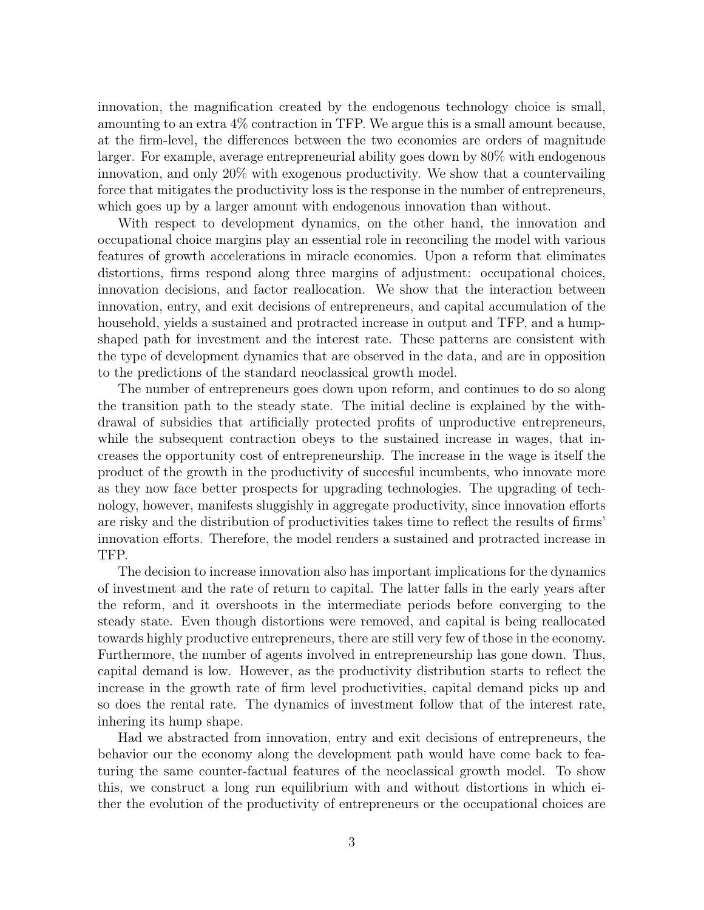innovation, the magnification created by the endogenous technology choice is small, amounting to an extra 4% contraction in TFP. We argue this is a small amount because, at the firm-level, the differences between the two economies are orders of magnitude larger. For example, average entrepreneurial ability goes down by 80% with endogenous innovation, and only 20% with exogenous productivity. We show that a countervailing force that mitigates the productivity loss is the response in the number of entrepreneurs, which goes up by a larger amount with endogenous innovation than without.

With respect to development dynamics, on the other hand, the innovation and occupational choice margins play an essential role in reconciling the model with various features of growth accelerations in miracle economies. Upon a reform that eliminates distortions, firms respond along three margins of adjustment: occupational choices, innovation decisions, and factor reallocation. We show that the interaction between innovation, entry, and exit decisions of entrepreneurs, and capital accumulation of the household, yields a sustained and protracted increase in output and TFP, and a humpshaped path for investment and the interest rate. These patterns are consistent with the type of development dynamics that are observed in the data, and are in opposition to the predictions of the standard neoclassical growth model.

The number of entrepreneurs goes down upon reform, and continues to do so along the transition path to the steady state. The initial decline is explained by the withdrawal of subsidies that artificially protected profits of unproductive entrepreneurs, while the subsequent contraction obeys to the sustained increase in wages, that increases the opportunity cost of entrepreneurship. The increase in the wage is itself the product of the growth in the productivity of succesful incumbents, who innovate more as they now face better prospects for upgrading technologies. The upgrading of technology, however, manifests sluggishly in aggregate productivity, since innovation efforts are risky and the distribution of productivities takes time to reflect the results of firms' innovation efforts. Therefore, the model renders a sustained and protracted increase in TFP.

The decision to increase innovation also has important implications for the dynamics of investment and the rate of return to capital. The latter falls in the early years after the reform, and it overshoots in the intermediate periods before converging to the steady state. Even though distortions were removed, and capital is being reallocated towards highly productive entrepreneurs, there are still very few of those in the economy. Furthermore, the number of agents involved in entrepreneurship has gone down. Thus, capital demand is low. However, as the productivity distribution starts to reflect the increase in the growth rate of firm level productivities, capital demand picks up and so does the rental rate. The dynamics of investment follow that of the interest rate, inhering its hump shape.

Had we abstracted from innovation, entry and exit decisions of entrepreneurs, the behavior our the economy along the development path would have come back to featuring the same counter-factual features of the neoclassical growth model. To show this, we construct a long run equilibrium with and without distortions in which either the evolution of the productivity of entrepreneurs or the occupational choices are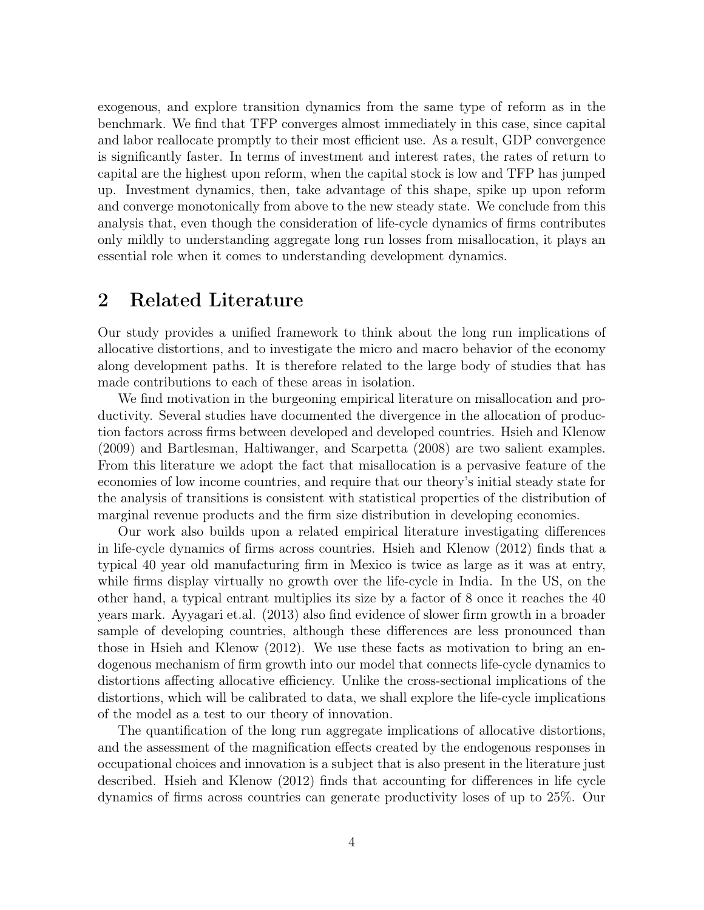exogenous, and explore transition dynamics from the same type of reform as in the benchmark. We find that TFP converges almost immediately in this case, since capital and labor reallocate promptly to their most efficient use. As a result, GDP convergence is significantly faster. In terms of investment and interest rates, the rates of return to capital are the highest upon reform, when the capital stock is low and TFP has jumped up. Investment dynamics, then, take advantage of this shape, spike up upon reform and converge monotonically from above to the new steady state. We conclude from this analysis that, even though the consideration of life-cycle dynamics of firms contributes only mildly to understanding aggregate long run losses from misallocation, it plays an essential role when it comes to understanding development dynamics.

# 2 Related Literature

Our study provides a unified framework to think about the long run implications of allocative distortions, and to investigate the micro and macro behavior of the economy along development paths. It is therefore related to the large body of studies that has made contributions to each of these areas in isolation.

We find motivation in the burgeoning empirical literature on misallocation and productivity. Several studies have documented the divergence in the allocation of production factors across firms between developed and developed countries. Hsieh and Klenow (2009) and Bartlesman, Haltiwanger, and Scarpetta (2008) are two salient examples. From this literature we adopt the fact that misallocation is a pervasive feature of the economies of low income countries, and require that our theory's initial steady state for the analysis of transitions is consistent with statistical properties of the distribution of marginal revenue products and the firm size distribution in developing economies.

Our work also builds upon a related empirical literature investigating differences in life-cycle dynamics of firms across countries. Hsieh and Klenow (2012) finds that a typical 40 year old manufacturing firm in Mexico is twice as large as it was at entry, while firms display virtually no growth over the life-cycle in India. In the US, on the other hand, a typical entrant multiplies its size by a factor of 8 once it reaches the 40 years mark. Ayyagari et.al. (2013) also find evidence of slower firm growth in a broader sample of developing countries, although these differences are less pronounced than those in Hsieh and Klenow (2012). We use these facts as motivation to bring an endogenous mechanism of firm growth into our model that connects life-cycle dynamics to distortions affecting allocative efficiency. Unlike the cross-sectional implications of the distortions, which will be calibrated to data, we shall explore the life-cycle implications of the model as a test to our theory of innovation.

The quantification of the long run aggregate implications of allocative distortions, and the assessment of the magnification effects created by the endogenous responses in occupational choices and innovation is a subject that is also present in the literature just described. Hsieh and Klenow (2012) finds that accounting for differences in life cycle dynamics of firms across countries can generate productivity loses of up to 25%. Our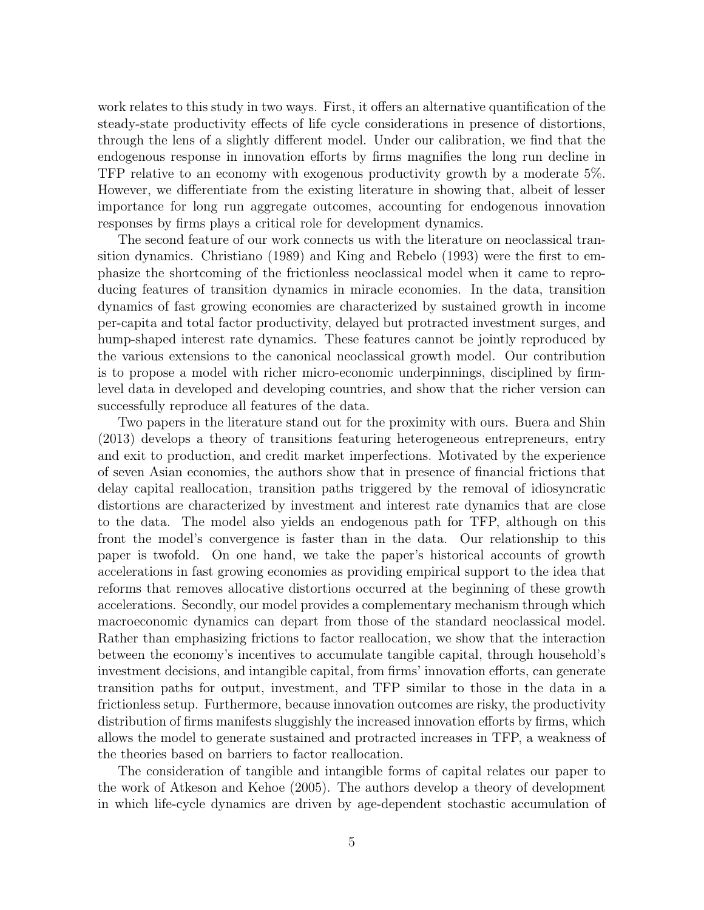work relates to this study in two ways. First, it offers an alternative quantification of the steady-state productivity effects of life cycle considerations in presence of distortions, through the lens of a slightly different model. Under our calibration, we find that the endogenous response in innovation efforts by firms magnifies the long run decline in TFP relative to an economy with exogenous productivity growth by a moderate 5%. However, we differentiate from the existing literature in showing that, albeit of lesser importance for long run aggregate outcomes, accounting for endogenous innovation responses by firms plays a critical role for development dynamics.

The second feature of our work connects us with the literature on neoclassical transition dynamics. Christiano (1989) and King and Rebelo (1993) were the first to emphasize the shortcoming of the frictionless neoclassical model when it came to reproducing features of transition dynamics in miracle economies. In the data, transition dynamics of fast growing economies are characterized by sustained growth in income per-capita and total factor productivity, delayed but protracted investment surges, and hump-shaped interest rate dynamics. These features cannot be jointly reproduced by the various extensions to the canonical neoclassical growth model. Our contribution is to propose a model with richer micro-economic underpinnings, disciplined by firmlevel data in developed and developing countries, and show that the richer version can successfully reproduce all features of the data.

Two papers in the literature stand out for the proximity with ours. Buera and Shin (2013) develops a theory of transitions featuring heterogeneous entrepreneurs, entry and exit to production, and credit market imperfections. Motivated by the experience of seven Asian economies, the authors show that in presence of financial frictions that delay capital reallocation, transition paths triggered by the removal of idiosyncratic distortions are characterized by investment and interest rate dynamics that are close to the data. The model also yields an endogenous path for TFP, although on this front the model's convergence is faster than in the data. Our relationship to this paper is twofold. On one hand, we take the paper's historical accounts of growth accelerations in fast growing economies as providing empirical support to the idea that reforms that removes allocative distortions occurred at the beginning of these growth accelerations. Secondly, our model provides a complementary mechanism through which macroeconomic dynamics can depart from those of the standard neoclassical model. Rather than emphasizing frictions to factor reallocation, we show that the interaction between the economy's incentives to accumulate tangible capital, through household's investment decisions, and intangible capital, from firms' innovation efforts, can generate transition paths for output, investment, and TFP similar to those in the data in a frictionless setup. Furthermore, because innovation outcomes are risky, the productivity distribution of firms manifests sluggishly the increased innovation efforts by firms, which allows the model to generate sustained and protracted increases in TFP, a weakness of the theories based on barriers to factor reallocation.

The consideration of tangible and intangible forms of capital relates our paper to the work of Atkeson and Kehoe (2005). The authors develop a theory of development in which life-cycle dynamics are driven by age-dependent stochastic accumulation of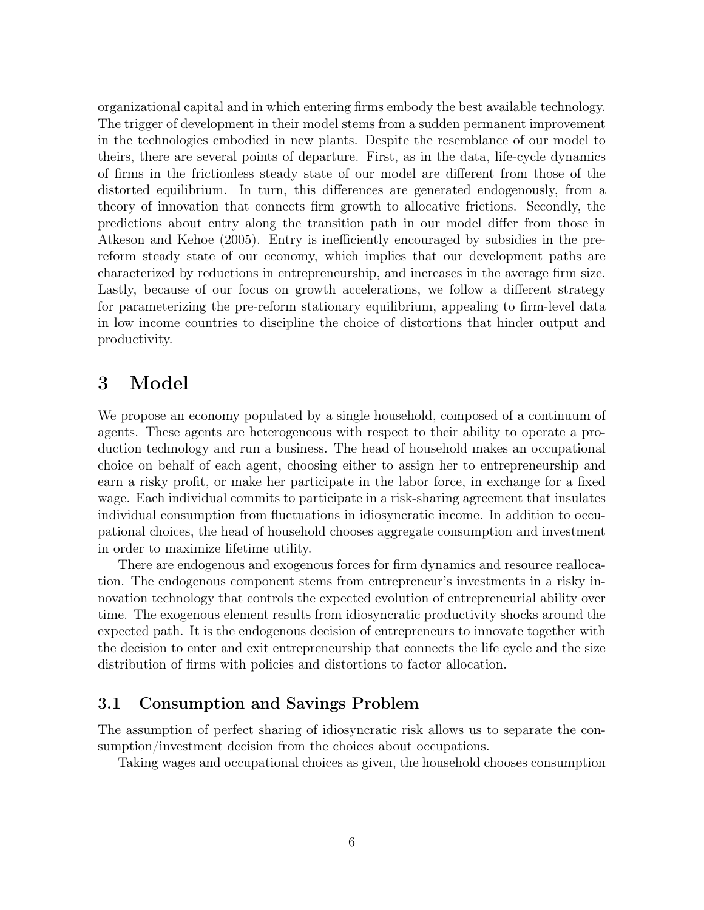organizational capital and in which entering firms embody the best available technology. The trigger of development in their model stems from a sudden permanent improvement in the technologies embodied in new plants. Despite the resemblance of our model to theirs, there are several points of departure. First, as in the data, life-cycle dynamics of firms in the frictionless steady state of our model are different from those of the distorted equilibrium. In turn, this differences are generated endogenously, from a theory of innovation that connects firm growth to allocative frictions. Secondly, the predictions about entry along the transition path in our model differ from those in Atkeson and Kehoe (2005). Entry is inefficiently encouraged by subsidies in the prereform steady state of our economy, which implies that our development paths are characterized by reductions in entrepreneurship, and increases in the average firm size. Lastly, because of our focus on growth accelerations, we follow a different strategy for parameterizing the pre-reform stationary equilibrium, appealing to firm-level data in low income countries to discipline the choice of distortions that hinder output and productivity.

# 3 Model

We propose an economy populated by a single household, composed of a continuum of agents. These agents are heterogeneous with respect to their ability to operate a production technology and run a business. The head of household makes an occupational choice on behalf of each agent, choosing either to assign her to entrepreneurship and earn a risky profit, or make her participate in the labor force, in exchange for a fixed wage. Each individual commits to participate in a risk-sharing agreement that insulates individual consumption from fluctuations in idiosyncratic income. In addition to occupational choices, the head of household chooses aggregate consumption and investment in order to maximize lifetime utility.

There are endogenous and exogenous forces for firm dynamics and resource reallocation. The endogenous component stems from entrepreneur's investments in a risky innovation technology that controls the expected evolution of entrepreneurial ability over time. The exogenous element results from idiosyncratic productivity shocks around the expected path. It is the endogenous decision of entrepreneurs to innovate together with the decision to enter and exit entrepreneurship that connects the life cycle and the size distribution of firms with policies and distortions to factor allocation.

### 3.1 Consumption and Savings Problem

The assumption of perfect sharing of idiosyncratic risk allows us to separate the consumption/investment decision from the choices about occupations.

Taking wages and occupational choices as given, the household chooses consumption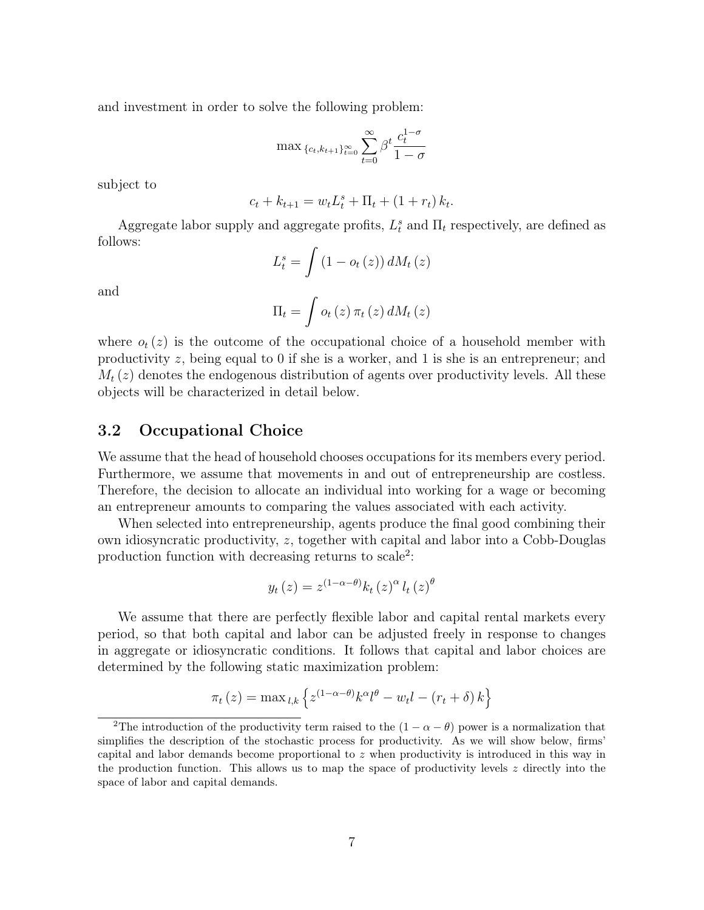and investment in order to solve the following problem:

$$
\max \{c_{t}, k_{t+1}\}_{t=0}^{\infty} \sum_{t=0}^{\infty} \beta^{t} \frac{c_{t}^{1-\sigma}}{1-\sigma}
$$

subject to

$$
c_t + k_{t+1} = w_t L_t^s + \Pi_t + (1 + r_t) k_t.
$$

Aggregate labor supply and aggregate profits,  $L_t^s$  and  $\Pi_t$  respectively, are defined as follows:

$$
L_t^s = \int \left(1 - o_t\left(z\right)\right) dM_t\left(z\right)
$$

and

$$
\Pi_t = \int o_t(z) \, \pi_t(z) \, dM_t(z)
$$

where  $o_t(z)$  is the outcome of the occupational choice of a household member with productivity z, being equal to 0 if she is a worker, and 1 is she is an entrepreneur; and  $M_t(z)$  denotes the endogenous distribution of agents over productivity levels. All these objects will be characterized in detail below.

#### 3.2 Occupational Choice

We assume that the head of household chooses occupations for its members every period. Furthermore, we assume that movements in and out of entrepreneurship are costless. Therefore, the decision to allocate an individual into working for a wage or becoming an entrepreneur amounts to comparing the values associated with each activity.

When selected into entrepreneurship, agents produce the final good combining their own idiosyncratic productivity, z, together with capital and labor into a Cobb-Douglas production function with decreasing returns to scale<sup>2</sup>:

$$
y_t(z) = z^{(1-\alpha-\theta)} k_t(z)^{\alpha} l_t(z)^{\theta}
$$

We assume that there are perfectly flexible labor and capital rental markets every period, so that both capital and labor can be adjusted freely in response to changes in aggregate or idiosyncratic conditions. It follows that capital and labor choices are determined by the following static maximization problem:

$$
\pi_t(z) = \max_{l,k} \left\{ z^{(1-\alpha-\theta)} k^{\alpha} l^{\theta} - w_t l - (r_t + \delta) k \right\}
$$

<sup>&</sup>lt;sup>2</sup>The introduction of the productivity term raised to the  $(1 - \alpha - \theta)$  power is a normalization that simplifies the description of the stochastic process for productivity. As we will show below, firms' capital and labor demands become proportional to  $z$  when productivity is introduced in this way in the production function. This allows us to map the space of productivity levels  $z$  directly into the space of labor and capital demands.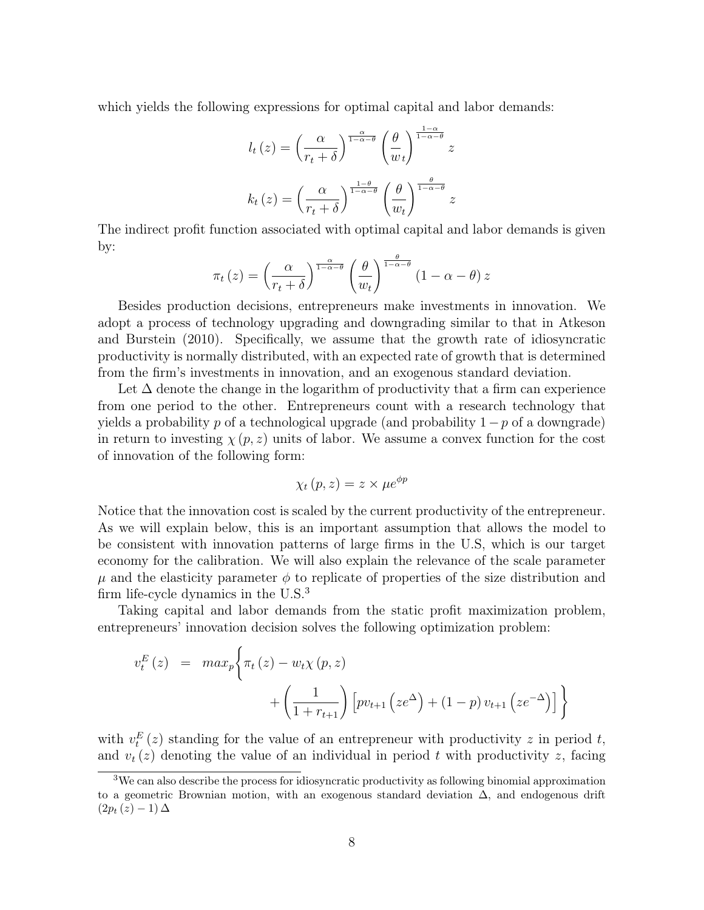which yields the following expressions for optimal capital and labor demands:

$$
l_t(z) = \left(\frac{\alpha}{r_t + \delta}\right)^{\frac{\alpha}{1 - \alpha - \theta}} \left(\frac{\theta}{w_t}\right)^{\frac{1 - \alpha}{1 - \alpha - \theta}} z
$$

$$
k_t(z) = \left(\frac{\alpha}{r_t + \delta}\right)^{\frac{1 - \theta}{1 - \alpha - \theta}} \left(\frac{\theta}{w_t}\right)^{\frac{\theta}{1 - \alpha - \theta}} z
$$

The indirect profit function associated with optimal capital and labor demands is given by:

$$
\pi_t(z) = \left(\frac{\alpha}{r_t + \delta}\right)^{\frac{\alpha}{1 - \alpha - \theta}} \left(\frac{\theta}{w_t}\right)^{\frac{\theta}{1 - \alpha - \theta}} \left(1 - \alpha - \theta\right) z
$$

Besides production decisions, entrepreneurs make investments in innovation. We adopt a process of technology upgrading and downgrading similar to that in Atkeson and Burstein (2010). Specifically, we assume that the growth rate of idiosyncratic productivity is normally distributed, with an expected rate of growth that is determined from the firm's investments in innovation, and an exogenous standard deviation.

Let  $\Delta$  denote the change in the logarithm of productivity that a firm can experience from one period to the other. Entrepreneurs count with a research technology that yields a probability p of a technological upgrade (and probability  $1-p$  of a downgrade) in return to investing  $\chi(p, z)$  units of labor. We assume a convex function for the cost of innovation of the following form:

$$
\chi_t(p,z) = z \times \mu e^{\phi p}
$$

Notice that the innovation cost is scaled by the current productivity of the entrepreneur. As we will explain below, this is an important assumption that allows the model to be consistent with innovation patterns of large firms in the U.S, which is our target economy for the calibration. We will also explain the relevance of the scale parameter  $\mu$  and the elasticity parameter  $\phi$  to replicate of properties of the size distribution and firm life-cycle dynamics in the U.S.<sup>3</sup>

Taking capital and labor demands from the static profit maximization problem, entrepreneurs' innovation decision solves the following optimization problem:

$$
v_t^E(z) = \max_p \left\{ \pi_t(z) - w_t \chi(p, z) + \left( \frac{1}{1 + r_{t+1}} \right) \left[ pv_{t+1} \left( ze^{\Delta} \right) + (1 - p) v_{t+1} \left( ze^{-\Delta} \right) \right] \right\}
$$

with  $v_t^E(z)$  standing for the value of an entrepreneur with productivity z in period t, and  $v_t(z)$  denoting the value of an individual in period t with productivity z, facing

<sup>3</sup>We can also describe the process for idiosyncratic productivity as following binomial approximation to a geometric Brownian motion, with an exogenous standard deviation ∆, and endogenous drift  $(2p_t(z) - 1) \Delta$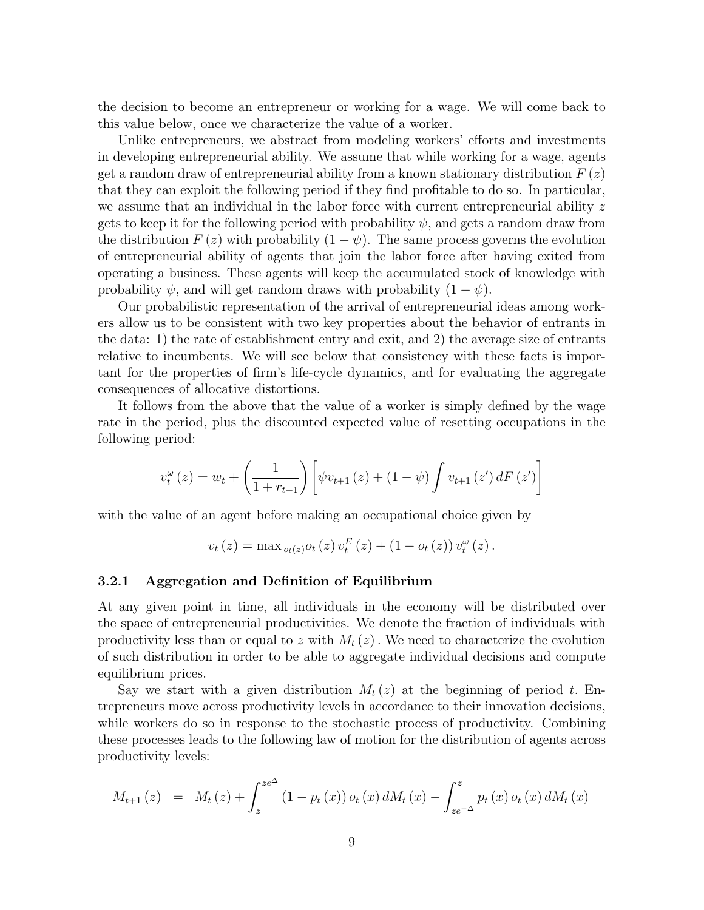the decision to become an entrepreneur or working for a wage. We will come back to this value below, once we characterize the value of a worker.

Unlike entrepreneurs, we abstract from modeling workers' efforts and investments in developing entrepreneurial ability. We assume that while working for a wage, agents get a random draw of entrepreneurial ability from a known stationary distribution  $F(z)$ that they can exploit the following period if they find profitable to do so. In particular, we assume that an individual in the labor force with current entrepreneurial ability  $z$ gets to keep it for the following period with probability  $\psi$ , and gets a random draw from the distribution  $F(z)$  with probability  $(1 - \psi)$ . The same process governs the evolution of entrepreneurial ability of agents that join the labor force after having exited from operating a business. These agents will keep the accumulated stock of knowledge with probability  $\psi$ , and will get random draws with probability  $(1 - \psi)$ .

Our probabilistic representation of the arrival of entrepreneurial ideas among workers allow us to be consistent with two key properties about the behavior of entrants in the data: 1) the rate of establishment entry and exit, and 2) the average size of entrants relative to incumbents. We will see below that consistency with these facts is important for the properties of firm's life-cycle dynamics, and for evaluating the aggregate consequences of allocative distortions.

It follows from the above that the value of a worker is simply defined by the wage rate in the period, plus the discounted expected value of resetting occupations in the following period:

$$
v_t^{\omega}(z) = w_t + \left(\frac{1}{1 + r_{t+1}}\right) \left[ \psi v_{t+1}(z) + (1 - \psi) \int v_{t+1}(z') dF(z') \right]
$$

with the value of an agent before making an occupational choice given by

$$
v_{t}(z) = \max_{o_{t}(z)} o_{t}(z) v_{t}^{E}(z) + (1 - o_{t}(z)) v_{t}^{\omega}(z).
$$

#### 3.2.1 Aggregation and Definition of Equilibrium

At any given point in time, all individuals in the economy will be distributed over the space of entrepreneurial productivities. We denote the fraction of individuals with productivity less than or equal to z with  $M_t(z)$ . We need to characterize the evolution of such distribution in order to be able to aggregate individual decisions and compute equilibrium prices.

Say we start with a given distribution  $M_t(z)$  at the beginning of period t. Entrepreneurs move across productivity levels in accordance to their innovation decisions, while workers do so in response to the stochastic process of productivity. Combining these processes leads to the following law of motion for the distribution of agents across productivity levels:

$$
M_{t+1}(z) = M_t(z) + \int_z^{ze^{\Delta}} (1 - p_t(x)) o_t(x) dM_t(x) - \int_{ze^{-\Delta}}^z p_t(x) o_t(x) dM_t(x)
$$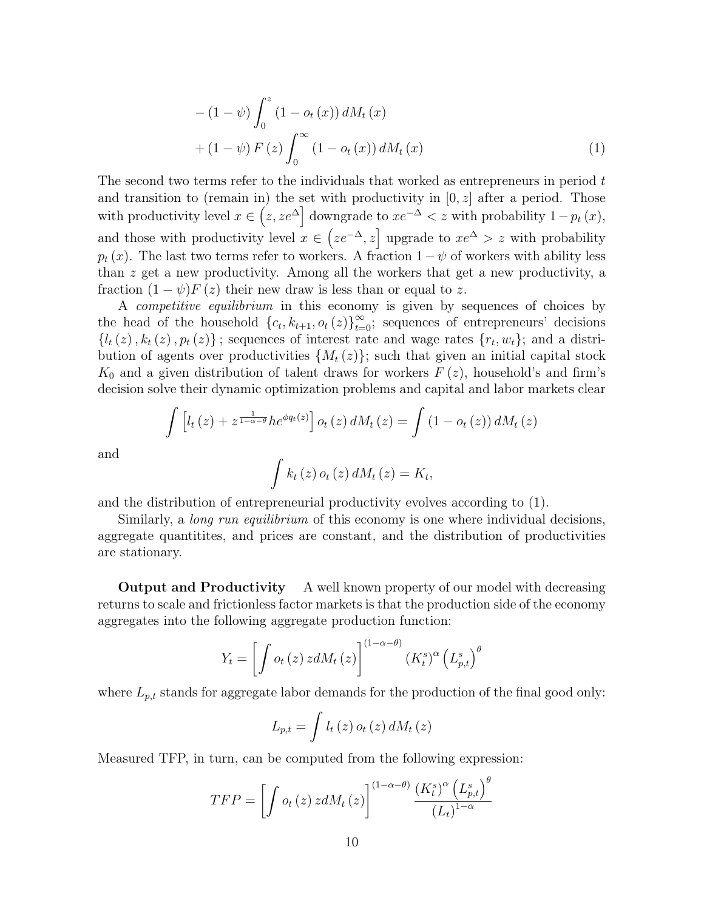$$
-(1 - \psi) \int_0^z (1 - o_t(x)) dM_t(x)
$$
  
+  $(1 - \psi) F(z) \int_0^\infty (1 - o_t(x)) dM_t(x)$  (1)

The second two terms refer to the individuals that worked as entrepreneurs in period t and transition to (remain in) the set with productivity in  $[0, z]$  after a period. Those with productivity level  $x \in (z, ze^{\Delta}]$  downgrade to  $xe^{-\Delta} < z$  with probability  $1-p_t(x)$ , and those with productivity level  $x \in (ze^{-\Delta}, z]$  upgrade to  $xe^{\Delta} > z$  with probability  $p_t(x)$ . The last two terms refer to workers. A fraction  $1-\psi$  of workers with ability less than z get a new productivity. Among all the workers that get a new productivity, a fraction  $(1 - \psi)F(z)$  their new draw is less than or equal to z.

A competitive equilibrium in this economy is given by sequences of choices by the head of the household  $\{c_t, k_{t+1}, o_t(z)\}_{t=0}^{\infty}$ ; sequences of entrepreneurs' decisions  ${l_t(z), k_t(z), p_t(z)}$ ; sequences of interest rate and wage rates  ${r_t, w_t}$ ; and a distribution of agents over productivities  $\{M_t(z)\}$ ; such that given an initial capital stock  $K_0$  and a given distribution of talent draws for workers  $F(z)$ , household's and firm's decision solve their dynamic optimization problems and capital and labor markets clear

$$
\int \left[ l_t(z) + z^{\frac{1}{1-\alpha-\theta}} h e^{\phi q_t(z)} \right] o_t(z) dM_t(z) = \int \left( 1 - o_t(z) \right) dM_t(z)
$$

and

$$
\int k_t(z) o_t(z) dM_t(z) = K_t,
$$

and the distribution of entrepreneurial productivity evolves according to (1).

Similarly, a *long run equilibrium* of this economy is one where individual decisions, aggregate quantitites, and prices are constant, and the distribution of productivities are stationary.

**Output and Productivity** A well known property of our model with decreasing returns to scale and frictionless factor markets is that the production side of the economy aggregates into the following aggregate production function:

$$
Y_t = \left[ \int o_t \left( z \right) z dM_t \left( z \right) \right]^{(1-\alpha-\theta)} \left( K_t^s \right)^\alpha \left( L_{p,t}^s \right)^\theta
$$

where  $L_{p,t}$  stands for aggregate labor demands for the production of the final good only:

$$
L_{p,t} = \int l_t(z) \, o_t(z) \, dM_t(z)
$$

Measured TFP, in turn, can be computed from the following expression:

$$
TFP = \left[ \int o_t(z) z dM_t(z) \right]^{(1-\alpha-\theta)} \frac{\left(K_t^s\right)^{\alpha} \left(L_{p,t}^s\right)^{\theta}}{\left(L_t\right)^{1-\alpha}}
$$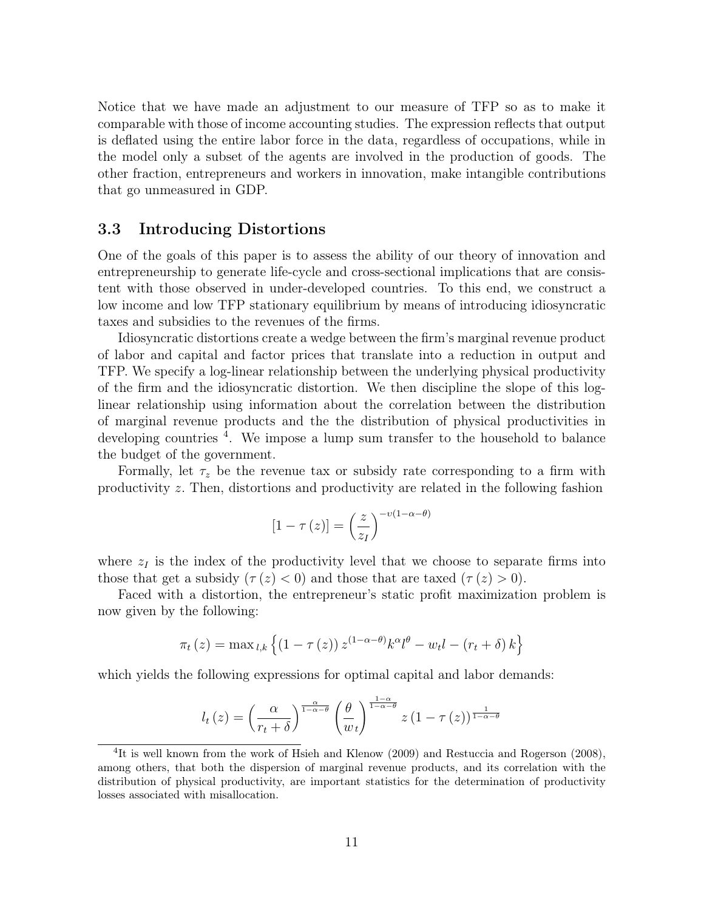Notice that we have made an adjustment to our measure of TFP so as to make it comparable with those of income accounting studies. The expression reflects that output is deflated using the entire labor force in the data, regardless of occupations, while in the model only a subset of the agents are involved in the production of goods. The other fraction, entrepreneurs and workers in innovation, make intangible contributions that go unmeasured in GDP.

#### 3.3 Introducing Distortions

One of the goals of this paper is to assess the ability of our theory of innovation and entrepreneurship to generate life-cycle and cross-sectional implications that are consistent with those observed in under-developed countries. To this end, we construct a low income and low TFP stationary equilibrium by means of introducing idiosyncratic taxes and subsidies to the revenues of the firms.

Idiosyncratic distortions create a wedge between the firm's marginal revenue product of labor and capital and factor prices that translate into a reduction in output and TFP. We specify a log-linear relationship between the underlying physical productivity of the firm and the idiosyncratic distortion. We then discipline the slope of this loglinear relationship using information about the correlation between the distribution of marginal revenue products and the the distribution of physical productivities in developing countries <sup>4</sup>. We impose a lump sum transfer to the household to balance the budget of the government.

Formally, let  $\tau_z$  be the revenue tax or subsidy rate corresponding to a firm with productivity z. Then, distortions and productivity are related in the following fashion

$$
[1 - \tau(z)] = \left(\frac{z}{z_I}\right)^{-\nu(1-\alpha-\theta)}
$$

where  $z_I$  is the index of the productivity level that we choose to separate firms into those that get a subsidy  $(\tau(z) < 0)$  and those that are taxed  $(\tau(z) > 0)$ .

Faced with a distortion, the entrepreneur's static profit maximization problem is now given by the following:

$$
\pi_t(z) = \max_{l,k} \left\{ (1 - \tau(z)) z^{(1 - \alpha - \theta)} k^{\alpha} l^{\theta} - w_l l - (r_t + \delta) k \right\}
$$

which yields the following expressions for optimal capital and labor demands:

$$
l_t(z) = \left(\frac{\alpha}{r_t + \delta}\right)^{\frac{\alpha}{1 - \alpha - \theta}} \left(\frac{\theta}{w_t}\right)^{\frac{1 - \alpha}{1 - \alpha - \theta}} z (1 - \tau(z))^{\frac{1}{1 - \alpha - \theta}}
$$

<sup>&</sup>lt;sup>4</sup>It is well known from the work of Hsieh and Klenow (2009) and Restuccia and Rogerson (2008), among others, that both the dispersion of marginal revenue products, and its correlation with the distribution of physical productivity, are important statistics for the determination of productivity losses associated with misallocation.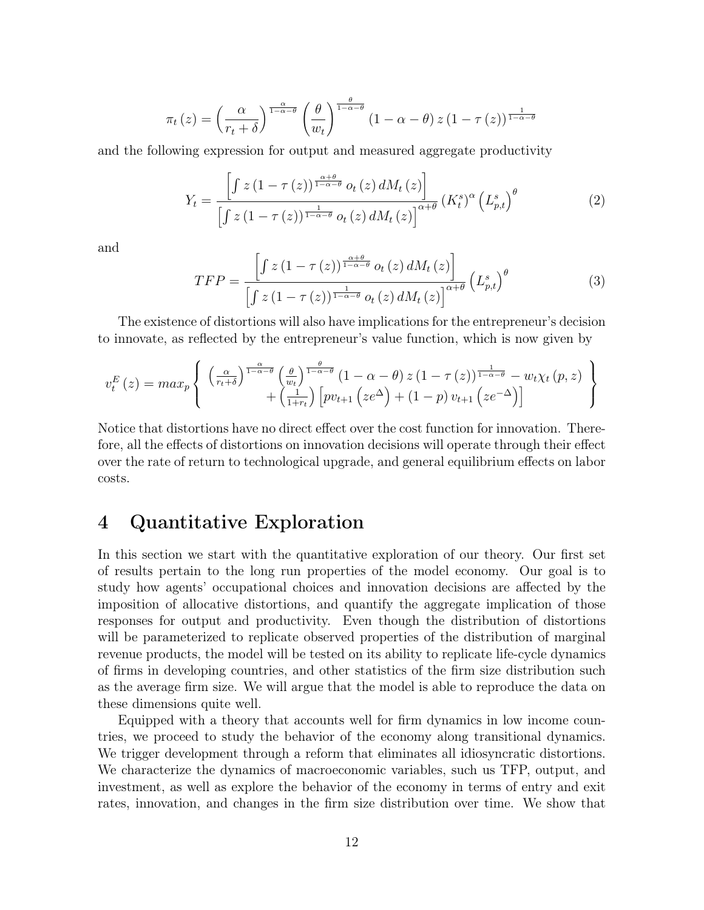$$
\pi_t(z) = \left(\frac{\alpha}{r_t + \delta}\right)^{\frac{\alpha}{1 - \alpha - \theta}} \left(\frac{\theta}{w_t}\right)^{\frac{\theta}{1 - \alpha - \theta}} \left(1 - \alpha - \theta\right) z \left(1 - \tau(z)\right)^{\frac{1}{1 - \alpha - \theta}}
$$

and the following expression for output and measured aggregate productivity

$$
Y_{t} = \frac{\left[f\ z\left(1-\tau\left(z\right)\right)^{\frac{\alpha+\theta}{1-\alpha-\theta}}o_{t}\left(z\right)dM_{t}\left(z\right)\right]}{\left[f\ z\left(1-\tau\left(z\right)\right)^{\frac{1}{1-\alpha-\theta}}o_{t}\left(z\right)dM_{t}\left(z\right)\right]^{\alpha+\theta}}\left(K_{t}^{s}\right)^{\alpha}\left(L_{p,t}^{s}\right)^{\theta} \tag{2}
$$

and

$$
TFP = \frac{\left[\int z\left(1-\tau\left(z\right)\right)^{\frac{\alpha+\theta}{1-\alpha-\theta}}o_t\left(z\right)dM_t\left(z\right)\right]}{\left[\int z\left(1-\tau\left(z\right)\right)^{\frac{1}{1-\alpha-\theta}}o_t\left(z\right)dM_t\left(z\right)\right]^{\alpha+\theta}}\left(L_{p,t}^s\right)^{\theta} \tag{3}
$$

The existence of distortions will also have implications for the entrepreneur's decision to innovate, as reflected by the entrepreneur's value function, which is now given by

$$
v_t^E(z) = max_p \left\{ \begin{array}{l} \left(\frac{\alpha}{r_t + \delta}\right)^{\frac{\alpha}{1 - \alpha - \theta}} \left(\frac{\theta}{w_t}\right)^{\frac{\theta}{1 - \alpha - \theta}} (1 - \alpha - \theta) z (1 - \tau(z))^{\frac{1}{1 - \alpha - \theta}} - w_t \chi_t(p, z) \\ + \left(\frac{1}{1 + r_t}\right) \left[ p v_{t+1} \left( z e^{\Delta} \right) + (1 - p) v_{t+1} \left( z e^{-\Delta} \right) \right] \end{array} \right\}
$$

Notice that distortions have no direct effect over the cost function for innovation. Therefore, all the effects of distortions on innovation decisions will operate through their effect over the rate of return to technological upgrade, and general equilibrium effects on labor costs.

### 4 Quantitative Exploration

In this section we start with the quantitative exploration of our theory. Our first set of results pertain to the long run properties of the model economy. Our goal is to study how agents' occupational choices and innovation decisions are affected by the imposition of allocative distortions, and quantify the aggregate implication of those responses for output and productivity. Even though the distribution of distortions will be parameterized to replicate observed properties of the distribution of marginal revenue products, the model will be tested on its ability to replicate life-cycle dynamics of firms in developing countries, and other statistics of the firm size distribution such as the average firm size. We will argue that the model is able to reproduce the data on these dimensions quite well.

Equipped with a theory that accounts well for firm dynamics in low income countries, we proceed to study the behavior of the economy along transitional dynamics. We trigger development through a reform that eliminates all idiosyncratic distortions. We characterize the dynamics of macroeconomic variables, such us TFP, output, and investment, as well as explore the behavior of the economy in terms of entry and exit rates, innovation, and changes in the firm size distribution over time. We show that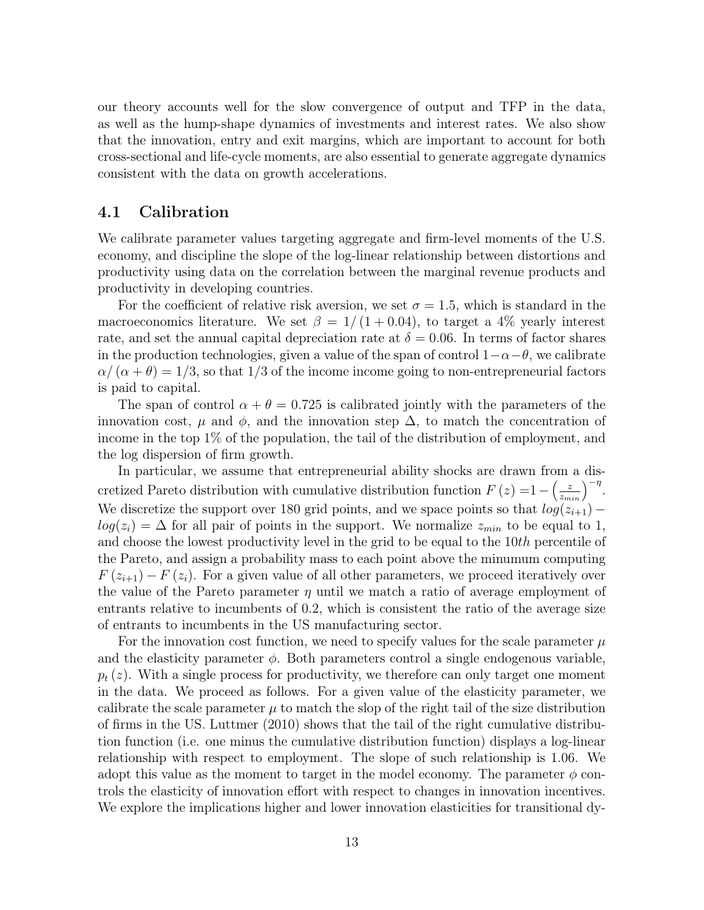our theory accounts well for the slow convergence of output and TFP in the data, as well as the hump-shape dynamics of investments and interest rates. We also show that the innovation, entry and exit margins, which are important to account for both cross-sectional and life-cycle moments, are also essential to generate aggregate dynamics consistent with the data on growth accelerations.

#### 4.1 Calibration

We calibrate parameter values targeting aggregate and firm-level moments of the U.S. economy, and discipline the slope of the log-linear relationship between distortions and productivity using data on the correlation between the marginal revenue products and productivity in developing countries.

For the coefficient of relative risk aversion, we set  $\sigma = 1.5$ , which is standard in the macroeconomics literature. We set  $\beta = 1/(1 + 0.04)$ , to target a 4% yearly interest rate, and set the annual capital depreciation rate at  $\delta = 0.06$ . In terms of factor shares in the production technologies, given a value of the span of control  $1-\alpha-\theta$ , we calibrate  $\alpha/(\alpha + \theta) = 1/3$ , so that 1/3 of the income income going to non-entrepreneurial factors is paid to capital.

The span of control  $\alpha + \theta = 0.725$  is calibrated jointly with the parameters of the innovation cost,  $\mu$  and  $\phi$ , and the innovation step  $\Delta$ , to match the concentration of income in the top 1% of the population, the tail of the distribution of employment, and the log dispersion of firm growth.

In particular, we assume that entrepreneurial ability shocks are drawn from a discretized Pareto distribution with cumulative distribution function  $F(z) = 1 - \left(\frac{z}{z_{min}}\right)^{-\eta}$ . We discretize the support over 180 grid points, and we space points so that  $log(z_{i+1})$  –  $log(z<sub>i</sub>) = \Delta$  for all pair of points in the support. We normalize  $z<sub>min</sub>$  to be equal to 1, and choose the lowest productivity level in the grid to be equal to the 10th percentile of the Pareto, and assign a probability mass to each point above the minumum computing  $F(z_{i+1}) - F(z_i)$ . For a given value of all other parameters, we proceed iteratively over the value of the Pareto parameter  $\eta$  until we match a ratio of average employment of entrants relative to incumbents of 0.2, which is consistent the ratio of the average size of entrants to incumbents in the US manufacturing sector.

For the innovation cost function, we need to specify values for the scale parameter  $\mu$ and the elasticity parameter  $\phi$ . Both parameters control a single endogenous variable,  $p_t(z)$ . With a single process for productivity, we therefore can only target one moment in the data. We proceed as follows. For a given value of the elasticity parameter, we calibrate the scale parameter  $\mu$  to match the slop of the right tail of the size distribution of firms in the US. Luttmer (2010) shows that the tail of the right cumulative distribution function (i.e. one minus the cumulative distribution function) displays a log-linear relationship with respect to employment. The slope of such relationship is 1.06. We adopt this value as the moment to target in the model economy. The parameter  $\phi$  controls the elasticity of innovation effort with respect to changes in innovation incentives. We explore the implications higher and lower innovation elasticities for transitional dy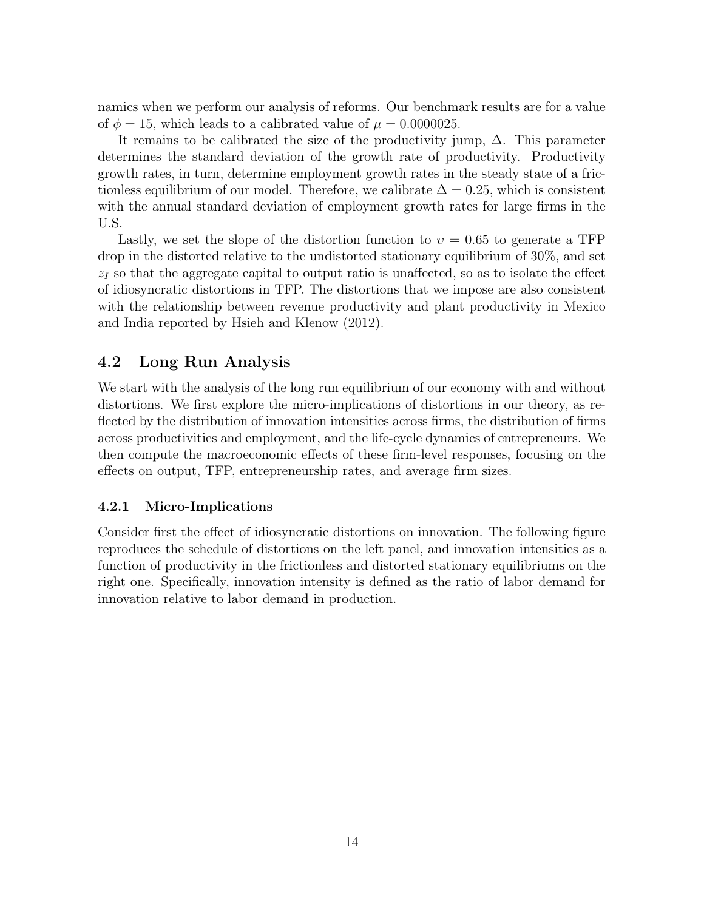namics when we perform our analysis of reforms. Our benchmark results are for a value of  $\phi = 15$ , which leads to a calibrated value of  $\mu = 0.0000025$ .

It remains to be calibrated the size of the productivity jump,  $\Delta$ . This parameter determines the standard deviation of the growth rate of productivity. Productivity growth rates, in turn, determine employment growth rates in the steady state of a frictionless equilibrium of our model. Therefore, we calibrate  $\Delta = 0.25$ , which is consistent with the annual standard deviation of employment growth rates for large firms in the U.S.

Lastly, we set the slope of the distortion function to  $v = 0.65$  to generate a TFP drop in the distorted relative to the undistorted stationary equilibrium of 30%, and set  $z<sub>I</sub>$  so that the aggregate capital to output ratio is unaffected, so as to isolate the effect of idiosyncratic distortions in TFP. The distortions that we impose are also consistent with the relationship between revenue productivity and plant productivity in Mexico and India reported by Hsieh and Klenow (2012).

### 4.2 Long Run Analysis

We start with the analysis of the long run equilibrium of our economy with and without distortions. We first explore the micro-implications of distortions in our theory, as reflected by the distribution of innovation intensities across firms, the distribution of firms across productivities and employment, and the life-cycle dynamics of entrepreneurs. We then compute the macroeconomic effects of these firm-level responses, focusing on the effects on output, TFP, entrepreneurship rates, and average firm sizes.

#### 4.2.1 Micro-Implications

Consider first the effect of idiosyncratic distortions on innovation. The following figure reproduces the schedule of distortions on the left panel, and innovation intensities as a function of productivity in the frictionless and distorted stationary equilibriums on the right one. Specifically, innovation intensity is defined as the ratio of labor demand for innovation relative to labor demand in production.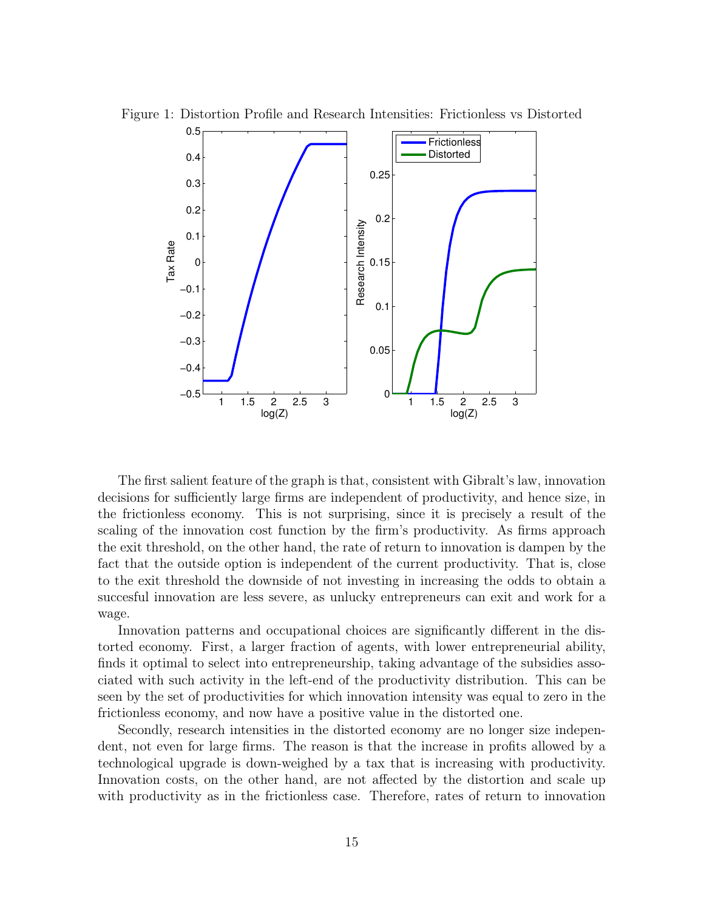

Figure 1: Distortion Profile and Research Intensities: Frictionless vs Distorted

The first salient feature of the graph is that, consistent with Gibralt's law, innovation decisions for sufficiently large firms are independent of productivity, and hence size, in the frictionless economy. This is not surprising, since it is precisely a result of the scaling of the innovation cost function by the firm's productivity. As firms approach the exit threshold, on the other hand, the rate of return to innovation is dampen by the fact that the outside option is independent of the current productivity. That is, close to the exit threshold the downside of not investing in increasing the odds to obtain a succesful innovation are less severe, as unlucky entrepreneurs can exit and work for a wage.

Innovation patterns and occupational choices are significantly different in the distorted economy. First, a larger fraction of agents, with lower entrepreneurial ability, finds it optimal to select into entrepreneurship, taking advantage of the subsidies associated with such activity in the left-end of the productivity distribution. This can be seen by the set of productivities for which innovation intensity was equal to zero in the frictionless economy, and now have a positive value in the distorted one.

Secondly, research intensities in the distorted economy are no longer size independent, not even for large firms. The reason is that the increase in profits allowed by a technological upgrade is down-weighed by a tax that is increasing with productivity. Innovation costs, on the other hand, are not affected by the distortion and scale up with productivity as in the frictionless case. Therefore, rates of return to innovation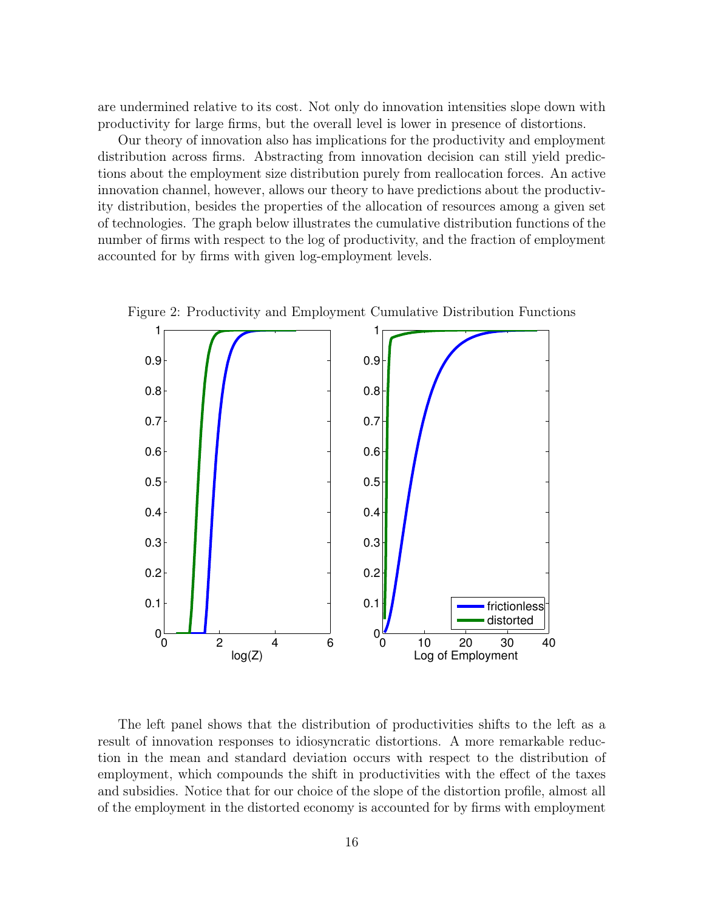are undermined relative to its cost. Not only do innovation intensities slope down with productivity for large firms, but the overall level is lower in presence of distortions.

Our theory of innovation also has implications for the productivity and employment distribution across firms. Abstracting from innovation decision can still yield predictions about the employment size distribution purely from reallocation forces. An active innovation channel, however, allows our theory to have predictions about the productivity distribution, besides the properties of the allocation of resources among a given set of technologies. The graph below illustrates the cumulative distribution functions of the number of firms with respect to the log of productivity, and the fraction of employment accounted for by firms with given log-employment levels.



Figure 2: Productivity and Employment Cumulative Distribution Functions

The left panel shows that the distribution of productivities shifts to the left as a result of innovation responses to idiosyncratic distortions. A more remarkable reduction in the mean and standard deviation occurs with respect to the distribution of employment, which compounds the shift in productivities with the effect of the taxes and subsidies. Notice that for our choice of the slope of the distortion profile, almost all of the employment in the distorted economy is accounted for by firms with employment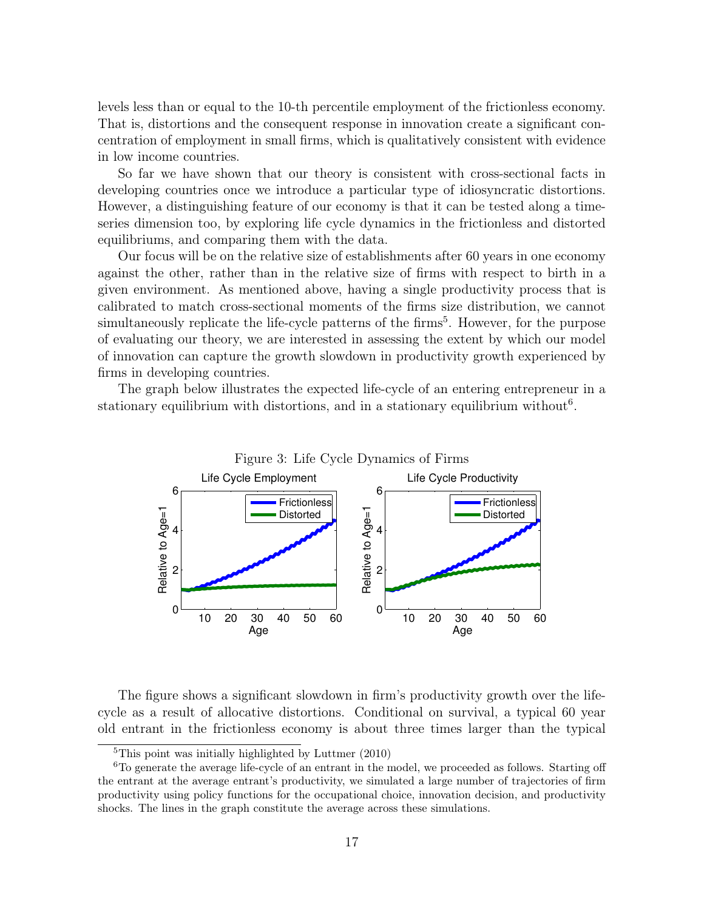levels less than or equal to the 10-th percentile employment of the frictionless economy. That is, distortions and the consequent response in innovation create a significant concentration of employment in small firms, which is qualitatively consistent with evidence in low income countries.

So far we have shown that our theory is consistent with cross-sectional facts in developing countries once we introduce a particular type of idiosyncratic distortions. However, a distinguishing feature of our economy is that it can be tested along a timeseries dimension too, by exploring life cycle dynamics in the frictionless and distorted equilibriums, and comparing them with the data.

Our focus will be on the relative size of establishments after 60 years in one economy against the other, rather than in the relative size of firms with respect to birth in a given environment. As mentioned above, having a single productivity process that is calibrated to match cross-sectional moments of the firms size distribution, we cannot simultaneously replicate the life-cycle patterns of the firms<sup>5</sup>. However, for the purpose of evaluating our theory, we are interested in assessing the extent by which our model of innovation can capture the growth slowdown in productivity growth experienced by firms in developing countries.

The graph below illustrates the expected life-cycle of an entering entrepreneur in a stationary equilibrium with distortions, and in a stationary equilibrium without<sup>6</sup>.



The figure shows a significant slowdown in firm's productivity growth over the lifecycle as a result of allocative distortions. Conditional on survival, a typical 60 year old entrant in the frictionless economy is about three times larger than the typical

 ${}^{5}$ This point was initially highlighted by Luttmer (2010)

 ${}^{6}$ To generate the average life-cycle of an entrant in the model, we proceeded as follows. Starting off the entrant at the average entrant's productivity, we simulated a large number of trajectories of firm productivity using policy functions for the occupational choice, innovation decision, and productivity shocks. The lines in the graph constitute the average across these simulations.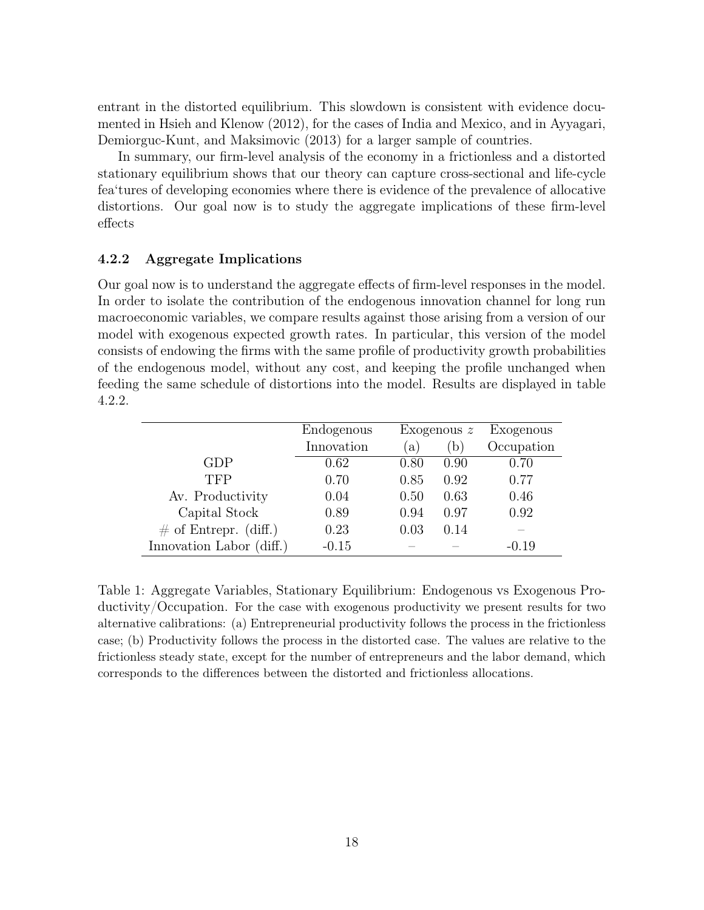entrant in the distorted equilibrium. This slowdown is consistent with evidence documented in Hsieh and Klenow (2012), for the cases of India and Mexico, and in Ayyagari, Demiorguc-Kunt, and Maksimovic (2013) for a larger sample of countries.

In summary, our firm-level analysis of the economy in a frictionless and a distorted stationary equilibrium shows that our theory can capture cross-sectional and life-cycle fea'tures of developing economies where there is evidence of the prevalence of allocative distortions. Our goal now is to study the aggregate implications of these firm-level effects

#### 4.2.2 Aggregate Implications

Our goal now is to understand the aggregate effects of firm-level responses in the model. In order to isolate the contribution of the endogenous innovation channel for long run macroeconomic variables, we compare results against those arising from a version of our model with exogenous expected growth rates. In particular, this version of the model consists of endowing the firms with the same profile of productivity growth probabilities of the endogenous model, without any cost, and keeping the profile unchanged when feeding the same schedule of distortions into the model. Results are displayed in table 4.2.2.

|                          | Endogenous | Exogenous $z$ |      | Exogenous  |
|--------------------------|------------|---------------|------|------------|
|                          | Innovation | a)            | (b)  | Occupation |
| GDP                      | 0.62       | 0.80          | 0.90 | 0.70       |
| <b>TFP</b>               | 0.70       | 0.85          | 0.92 | 0.77       |
| Av. Productivity         | 0.04       | 0.50          | 0.63 | 0.46       |
| Capital Stock            | 0.89       | 0.94          | 0.97 | 0.92       |
| $\#$ of Entrepr. (diff.) | 0.23       | 0.03          | 0.14 |            |
| Innovation Labor (diff.) | $-0.15$    |               |      | $-0.19$    |

Table 1: Aggregate Variables, Stationary Equilibrium: Endogenous vs Exogenous Productivity/Occupation. For the case with exogenous productivity we present results for two alternative calibrations: (a) Entrepreneurial productivity follows the process in the frictionless case; (b) Productivity follows the process in the distorted case. The values are relative to the frictionless steady state, except for the number of entrepreneurs and the labor demand, which corresponds to the differences between the distorted and frictionless allocations.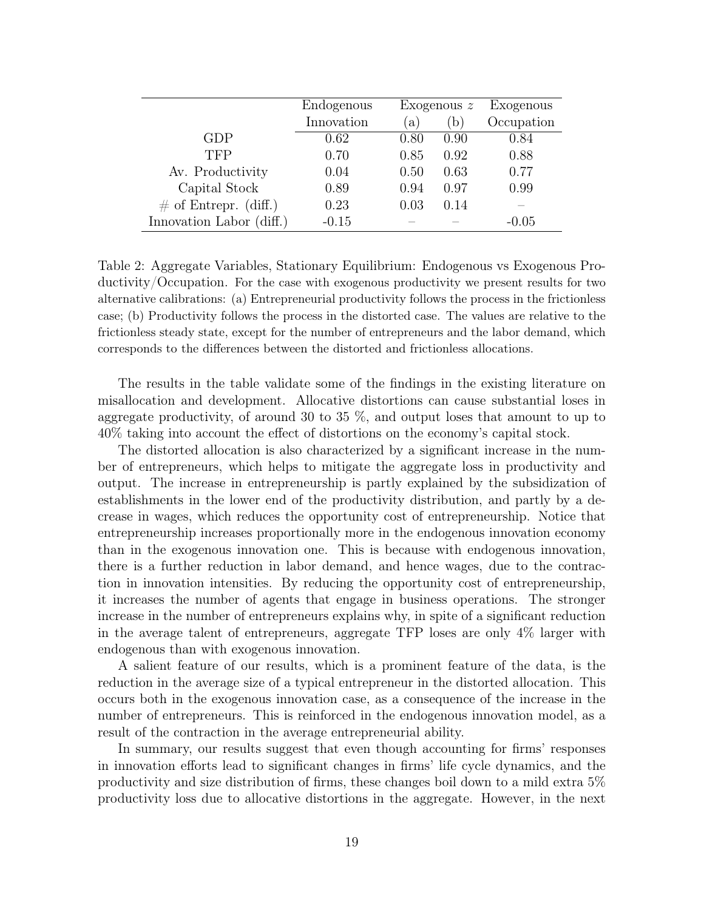|                          | Endogenous | Exogenous $z$ |      | Exogenous  |
|--------------------------|------------|---------------|------|------------|
|                          | Innovation | $\alpha$ )    | (b)  | Occupation |
| GDP                      | 0.62       | 0.80          | 0.90 | 0.84       |
| <b>TFP</b>               | 0.70       | 0.85          | 0.92 | 0.88       |
| Av. Productivity         | 0.04       | 0.50          | 0.63 | 0.77       |
| Capital Stock            | 0.89       | 0.94          | 0.97 | 0.99       |
| $\#$ of Entrepr. (diff.) | 0.23       | 0.03          | 0.14 |            |
| Innovation Labor (diff.) | $-0.15$    |               |      | $-0.05$    |

Table 2: Aggregate Variables, Stationary Equilibrium: Endogenous vs Exogenous Productivity/Occupation. For the case with exogenous productivity we present results for two alternative calibrations: (a) Entrepreneurial productivity follows the process in the frictionless case; (b) Productivity follows the process in the distorted case. The values are relative to the frictionless steady state, except for the number of entrepreneurs and the labor demand, which corresponds to the differences between the distorted and frictionless allocations.

The results in the table validate some of the findings in the existing literature on misallocation and development. Allocative distortions can cause substantial loses in aggregate productivity, of around 30 to 35 %, and output loses that amount to up to 40% taking into account the effect of distortions on the economy's capital stock.

The distorted allocation is also characterized by a significant increase in the number of entrepreneurs, which helps to mitigate the aggregate loss in productivity and output. The increase in entrepreneurship is partly explained by the subsidization of establishments in the lower end of the productivity distribution, and partly by a decrease in wages, which reduces the opportunity cost of entrepreneurship. Notice that entrepreneurship increases proportionally more in the endogenous innovation economy than in the exogenous innovation one. This is because with endogenous innovation, there is a further reduction in labor demand, and hence wages, due to the contraction in innovation intensities. By reducing the opportunity cost of entrepreneurship, it increases the number of agents that engage in business operations. The stronger increase in the number of entrepreneurs explains why, in spite of a significant reduction in the average talent of entrepreneurs, aggregate TFP loses are only 4% larger with endogenous than with exogenous innovation.

A salient feature of our results, which is a prominent feature of the data, is the reduction in the average size of a typical entrepreneur in the distorted allocation. This occurs both in the exogenous innovation case, as a consequence of the increase in the number of entrepreneurs. This is reinforced in the endogenous innovation model, as a result of the contraction in the average entrepreneurial ability.

In summary, our results suggest that even though accounting for firms' responses in innovation efforts lead to significant changes in firms' life cycle dynamics, and the productivity and size distribution of firms, these changes boil down to a mild extra 5% productivity loss due to allocative distortions in the aggregate. However, in the next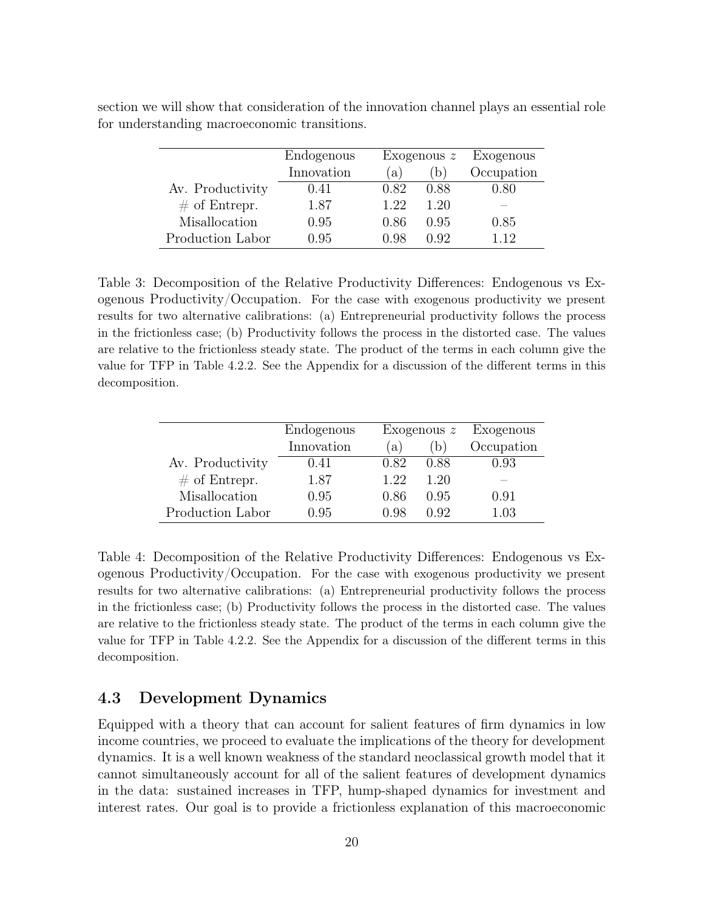|                  | Endogenous |      | Exogenous $z$ | Exogenous  |
|------------------|------------|------|---------------|------------|
|                  | Innovation | (a)  | (b)           | Occupation |
| Av. Productivity | 0.41       | 0.82 | 0.88          | $0.80\,$   |
| $\#$ of Entrepr. | 1.87       | 1.22 | 1.20          |            |
| Misallocation    | 0.95       | 0.86 | 0.95          | 0.85       |
| Production Labor | 0.95       | 0.98 | O 92          | 1 1 2      |

section we will show that consideration of the innovation channel plays an essential role for understanding macroeconomic transitions.

Table 3: Decomposition of the Relative Productivity Differences: Endogenous vs Exogenous Productivity/Occupation. For the case with exogenous productivity we present results for two alternative calibrations: (a) Entrepreneurial productivity follows the process in the frictionless case; (b) Productivity follows the process in the distorted case. The values are relative to the frictionless steady state. The product of the terms in each column give the value for TFP in Table 4.2.2. See the Appendix for a discussion of the different terms in this decomposition.

|                  | Endogenous |      | Exogenous $z$ | Exogenous  |
|------------------|------------|------|---------------|------------|
|                  | Innovation | (a)  | $\mathbf{b}$  | Occupation |
| Av. Productivity | 0.41       | 0.82 | 0.88          | 0.93       |
| $\#$ of Entrepr. | 1.87       | 1.22 | 1.20          |            |
| Misallocation    | 0.95       | 0.86 | 0.95          | 0.91       |
| Production Labor | 0.95       | A 98 | Ո Գ2          | 1.03       |

Table 4: Decomposition of the Relative Productivity Differences: Endogenous vs Exogenous Productivity/Occupation. For the case with exogenous productivity we present results for two alternative calibrations: (a) Entrepreneurial productivity follows the process in the frictionless case; (b) Productivity follows the process in the distorted case. The values are relative to the frictionless steady state. The product of the terms in each column give the value for TFP in Table 4.2.2. See the Appendix for a discussion of the different terms in this decomposition.

#### 4.3 Development Dynamics

Equipped with a theory that can account for salient features of firm dynamics in low income countries, we proceed to evaluate the implications of the theory for development dynamics. It is a well known weakness of the standard neoclassical growth model that it cannot simultaneously account for all of the salient features of development dynamics in the data: sustained increases in TFP, hump-shaped dynamics for investment and interest rates. Our goal is to provide a frictionless explanation of this macroeconomic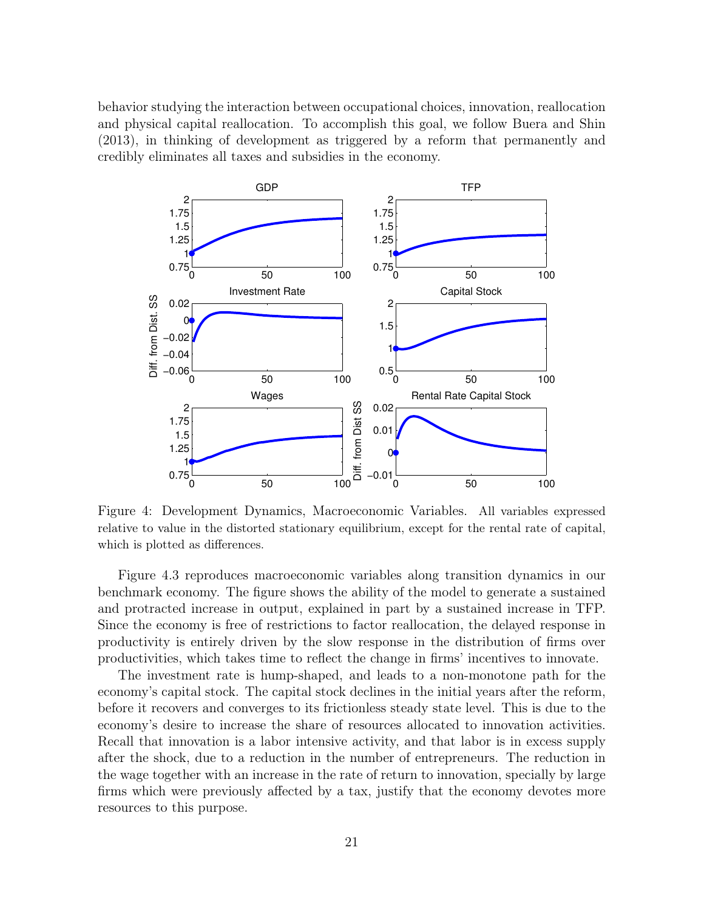behavior studying the interaction between occupational choices, innovation, reallocation and physical capital reallocation. To accomplish this goal, we follow Buera and Shin (2013), in thinking of development as triggered by a reform that permanently and credibly eliminates all taxes and subsidies in the economy.



Figure 4: Development Dynamics, Macroeconomic Variables. All variables expressed relative to value in the distorted stationary equilibrium, except for the rental rate of capital, which is plotted as differences.

Figure 4.3 reproduces macroeconomic variables along transition dynamics in our benchmark economy. The figure shows the ability of the model to generate a sustained and protracted increase in output, explained in part by a sustained increase in TFP. Since the economy is free of restrictions to factor reallocation, the delayed response in productivity is entirely driven by the slow response in the distribution of firms over productivities, which takes time to reflect the change in firms' incentives to innovate.

The investment rate is hump-shaped, and leads to a non-monotone path for the economy's capital stock. The capital stock declines in the initial years after the reform, before it recovers and converges to its frictionless steady state level. This is due to the economy's desire to increase the share of resources allocated to innovation activities. Recall that innovation is a labor intensive activity, and that labor is in excess supply after the shock, due to a reduction in the number of entrepreneurs. The reduction in the wage together with an increase in the rate of return to innovation, specially by large firms which were previously affected by a tax, justify that the economy devotes more resources to this purpose.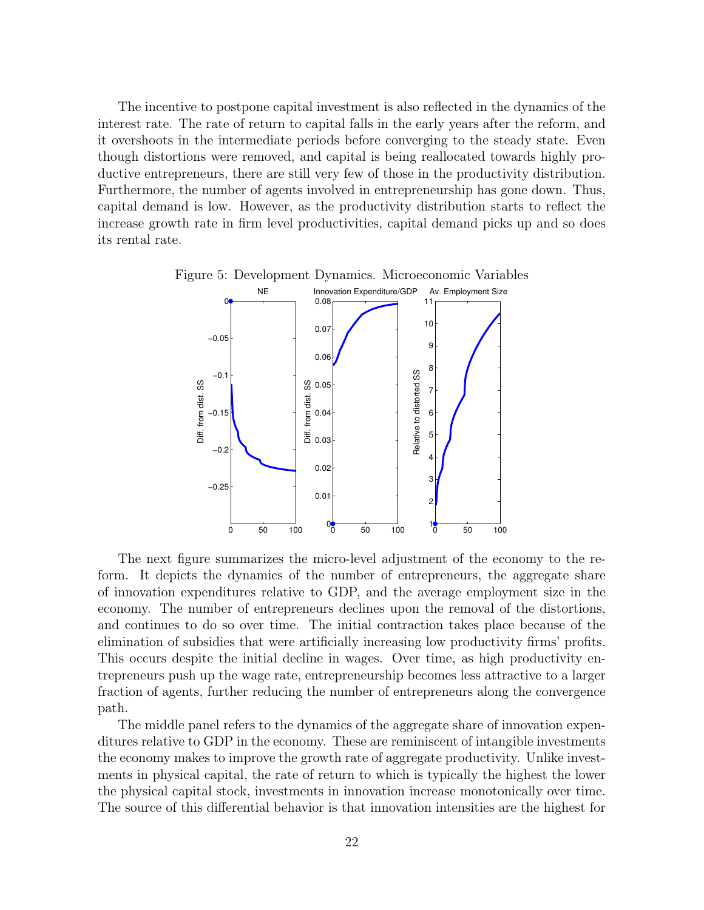The incentive to postpone capital investment is also reflected in the dynamics of the interest rate. The rate of return to capital falls in the early years after the reform, and it overshoots in the intermediate periods before converging to the steady state. Even though distortions were removed, and capital is being reallocated towards highly productive entrepreneurs, there are still very few of those in the productivity distribution. Furthermore, the number of agents involved in entrepreneurship has gone down. Thus, capital demand is low. However, as the productivity distribution starts to reflect the increase growth rate in firm level productivities, capital demand picks up and so does its rental rate.



The next figure summarizes the micro-level adjustment of the economy to the reform. It depicts the dynamics of the number of entrepreneurs, the aggregate share of innovation expenditures relative to GDP, and the average employment size in the economy. The number of entrepreneurs declines upon the removal of the distortions, and continues to do so over time. The initial contraction takes place because of the elimination of subsidies that were artificially increasing low productivity firms' profits. This occurs despite the initial decline in wages. Over time, as high productivity entrepreneurs push up the wage rate, entrepreneurship becomes less attractive to a larger fraction of agents, further reducing the number of entrepreneurs along the convergence path.

The middle panel refers to the dynamics of the aggregate share of innovation expenditures relative to GDP in the economy. These are reminiscent of intangible investments the economy makes to improve the growth rate of aggregate productivity. Unlike investments in physical capital, the rate of return to which is typically the highest the lower the physical capital stock, investments in innovation increase monotonically over time. The source of this differential behavior is that innovation intensities are the highest for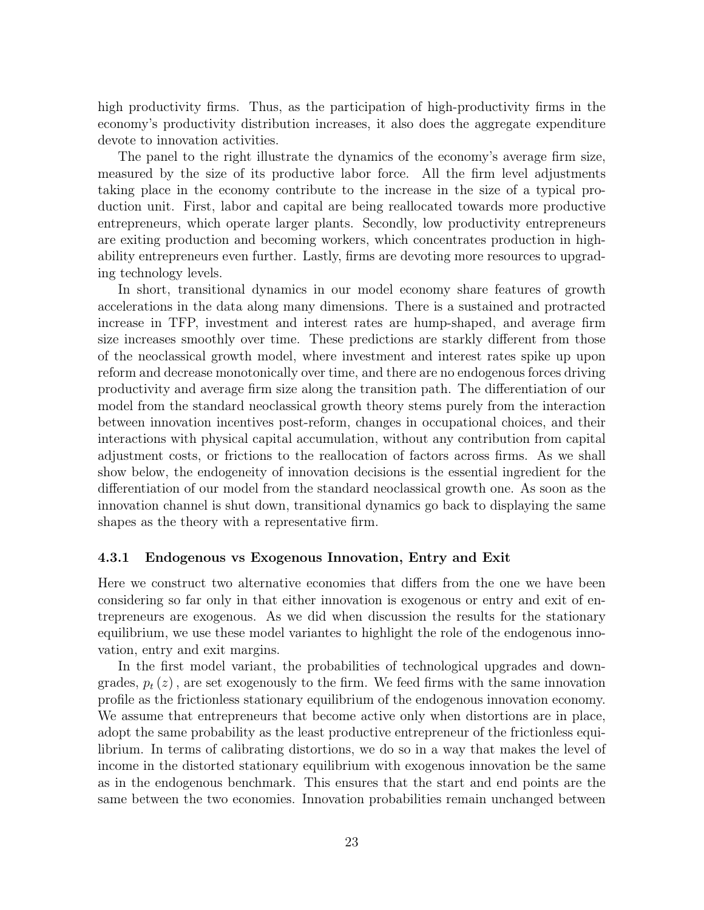high productivity firms. Thus, as the participation of high-productivity firms in the economy's productivity distribution increases, it also does the aggregate expenditure devote to innovation activities.

The panel to the right illustrate the dynamics of the economy's average firm size, measured by the size of its productive labor force. All the firm level adjustments taking place in the economy contribute to the increase in the size of a typical production unit. First, labor and capital are being reallocated towards more productive entrepreneurs, which operate larger plants. Secondly, low productivity entrepreneurs are exiting production and becoming workers, which concentrates production in highability entrepreneurs even further. Lastly, firms are devoting more resources to upgrading technology levels.

In short, transitional dynamics in our model economy share features of growth accelerations in the data along many dimensions. There is a sustained and protracted increase in TFP, investment and interest rates are hump-shaped, and average firm size increases smoothly over time. These predictions are starkly different from those of the neoclassical growth model, where investment and interest rates spike up upon reform and decrease monotonically over time, and there are no endogenous forces driving productivity and average firm size along the transition path. The differentiation of our model from the standard neoclassical growth theory stems purely from the interaction between innovation incentives post-reform, changes in occupational choices, and their interactions with physical capital accumulation, without any contribution from capital adjustment costs, or frictions to the reallocation of factors across firms. As we shall show below, the endogeneity of innovation decisions is the essential ingredient for the differentiation of our model from the standard neoclassical growth one. As soon as the innovation channel is shut down, transitional dynamics go back to displaying the same shapes as the theory with a representative firm.

#### 4.3.1 Endogenous vs Exogenous Innovation, Entry and Exit

Here we construct two alternative economies that differs from the one we have been considering so far only in that either innovation is exogenous or entry and exit of entrepreneurs are exogenous. As we did when discussion the results for the stationary equilibrium, we use these model variantes to highlight the role of the endogenous innovation, entry and exit margins.

In the first model variant, the probabilities of technological upgrades and downgrades,  $p_t(z)$ , are set exogenously to the firm. We feed firms with the same innovation profile as the frictionless stationary equilibrium of the endogenous innovation economy. We assume that entrepreneurs that become active only when distortions are in place, adopt the same probability as the least productive entrepreneur of the frictionless equilibrium. In terms of calibrating distortions, we do so in a way that makes the level of income in the distorted stationary equilibrium with exogenous innovation be the same as in the endogenous benchmark. This ensures that the start and end points are the same between the two economies. Innovation probabilities remain unchanged between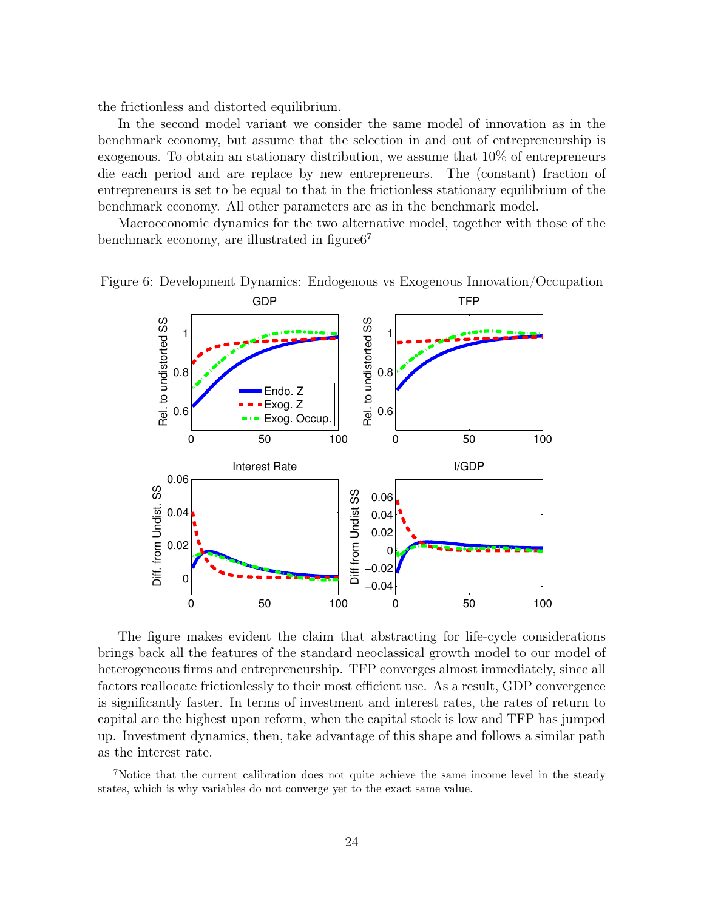the frictionless and distorted equilibrium.

In the second model variant we consider the same model of innovation as in the benchmark economy, but assume that the selection in and out of entrepreneurship is exogenous. To obtain an stationary distribution, we assume that 10% of entrepreneurs die each period and are replace by new entrepreneurs. The (constant) fraction of entrepreneurs is set to be equal to that in the frictionless stationary equilibrium of the benchmark economy. All other parameters are as in the benchmark model.

Macroeconomic dynamics for the two alternative model, together with those of the benchmark economy, are illustrated in figure  $6^7$ 



Figure 6: Development Dynamics: Endogenous vs Exogenous Innovation/Occupation

The figure makes evident the claim that abstracting for life-cycle considerations brings back all the features of the standard neoclassical growth model to our model of heterogeneous firms and entrepreneurship. TFP converges almost immediately, since all factors reallocate frictionlessly to their most efficient use. As a result, GDP convergence is significantly faster. In terms of investment and interest rates, the rates of return to capital are the highest upon reform, when the capital stock is low and TFP has jumped up. Investment dynamics, then, take advantage of this shape and follows a similar path as the interest rate.

<sup>7</sup>Notice that the current calibration does not quite achieve the same income level in the steady states, which is why variables do not converge yet to the exact same value.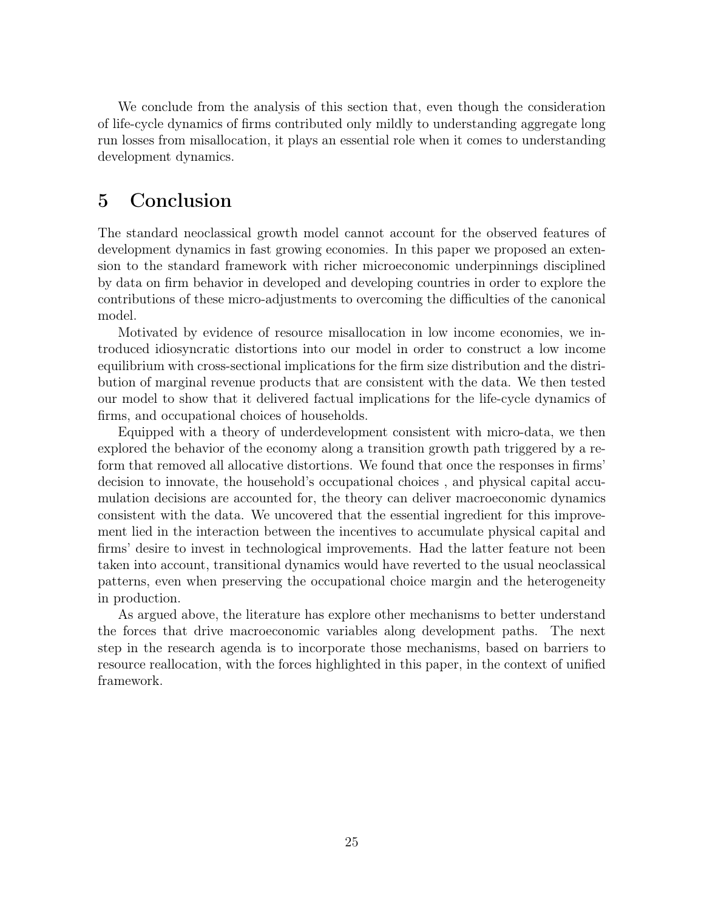We conclude from the analysis of this section that, even though the consideration of life-cycle dynamics of firms contributed only mildly to understanding aggregate long run losses from misallocation, it plays an essential role when it comes to understanding development dynamics.

### 5 Conclusion

The standard neoclassical growth model cannot account for the observed features of development dynamics in fast growing economies. In this paper we proposed an extension to the standard framework with richer microeconomic underpinnings disciplined by data on firm behavior in developed and developing countries in order to explore the contributions of these micro-adjustments to overcoming the difficulties of the canonical model.

Motivated by evidence of resource misallocation in low income economies, we introduced idiosyncratic distortions into our model in order to construct a low income equilibrium with cross-sectional implications for the firm size distribution and the distribution of marginal revenue products that are consistent with the data. We then tested our model to show that it delivered factual implications for the life-cycle dynamics of firms, and occupational choices of households.

Equipped with a theory of underdevelopment consistent with micro-data, we then explored the behavior of the economy along a transition growth path triggered by a reform that removed all allocative distortions. We found that once the responses in firms' decision to innovate, the household's occupational choices , and physical capital accumulation decisions are accounted for, the theory can deliver macroeconomic dynamics consistent with the data. We uncovered that the essential ingredient for this improvement lied in the interaction between the incentives to accumulate physical capital and firms' desire to invest in technological improvements. Had the latter feature not been taken into account, transitional dynamics would have reverted to the usual neoclassical patterns, even when preserving the occupational choice margin and the heterogeneity in production.

As argued above, the literature has explore other mechanisms to better understand the forces that drive macroeconomic variables along development paths. The next step in the research agenda is to incorporate those mechanisms, based on barriers to resource reallocation, with the forces highlighted in this paper, in the context of unified framework.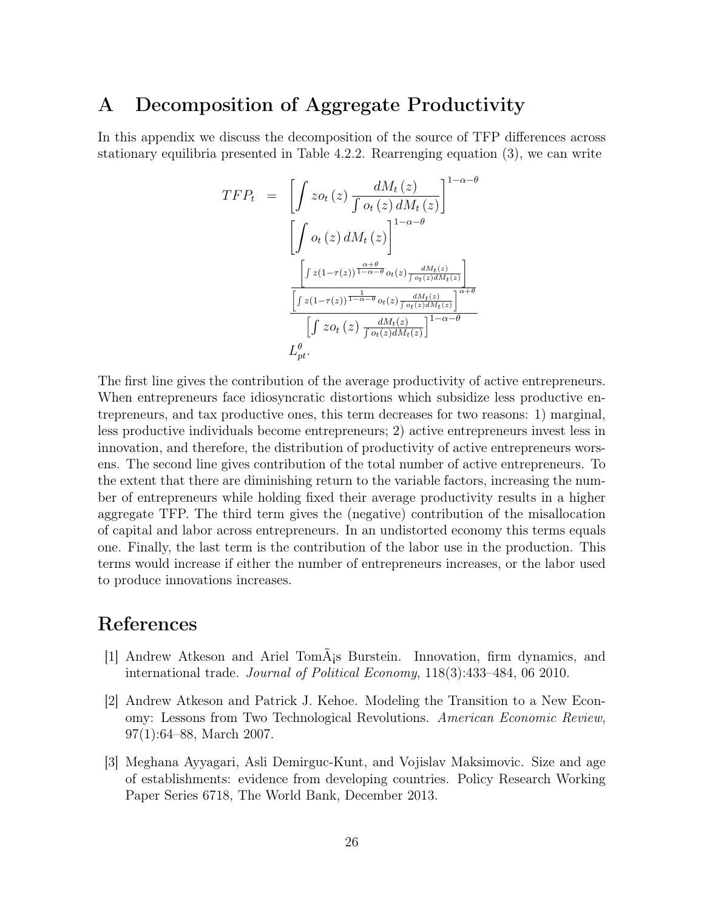### A Decomposition of Aggregate Productivity

In this appendix we discuss the decomposition of the source of TFP differences across stationary equilibria presented in Table 4.2.2. Rearrenging equation (3), we can write

$$
TFP_t = \left[ \int z o_t(z) \frac{dM_t(z)}{\int o_t(z) dM_t(z)} \right]^{1-\alpha-\theta}
$$

$$
\left[ \int o_t(z) dM_t(z) \right]^{1-\alpha-\theta}
$$

$$
\frac{\left[ \int z(1-\tau(z))^{\frac{\alpha+\theta}{1-\alpha-\theta}} o_t(z) \frac{dM_t(z)}{\int o_t(z) dM_t(z)} \right]}{\left[ \int z(1-\tau(z))^{\frac{1}{1-\alpha-\theta}} o_t(z) \frac{dM_t(z)}{\int o_t(z) dM_t(z)} \right]^{\alpha+\theta}}
$$

$$
\left[ \int z o_t(z) \frac{dM_t(z)}{\int o_t(z) dM_t(z)} \right]^{1-\alpha-\theta}
$$

$$
L_{pt}^{\theta}.
$$

The first line gives the contribution of the average productivity of active entrepreneurs. When entrepreneurs face idiosyncratic distortions which subsidize less productive entrepreneurs, and tax productive ones, this term decreases for two reasons: 1) marginal, less productive individuals become entrepreneurs; 2) active entrepreneurs invest less in innovation, and therefore, the distribution of productivity of active entrepreneurs worsens. The second line gives contribution of the total number of active entrepreneurs. To the extent that there are diminishing return to the variable factors, increasing the number of entrepreneurs while holding fixed their average productivity results in a higher aggregate TFP. The third term gives the (negative) contribution of the misallocation of capital and labor across entrepreneurs. In an undistorted economy this terms equals one. Finally, the last term is the contribution of the labor use in the production. This terms would increase if either the number of entrepreneurs increases, or the labor used to produce innovations increases.

# References

- [1] Andrew Atkeson and Ariel Tomás Burstein. Innovation, firm dynamics, and international trade. Journal of Political Economy, 118(3):433–484, 06 2010.
- [2] Andrew Atkeson and Patrick J. Kehoe. Modeling the Transition to a New Economy: Lessons from Two Technological Revolutions. American Economic Review, 97(1):64–88, March 2007.
- [3] Meghana Ayyagari, Asli Demirguc-Kunt, and Vojislav Maksimovic. Size and age of establishments: evidence from developing countries. Policy Research Working Paper Series 6718, The World Bank, December 2013.